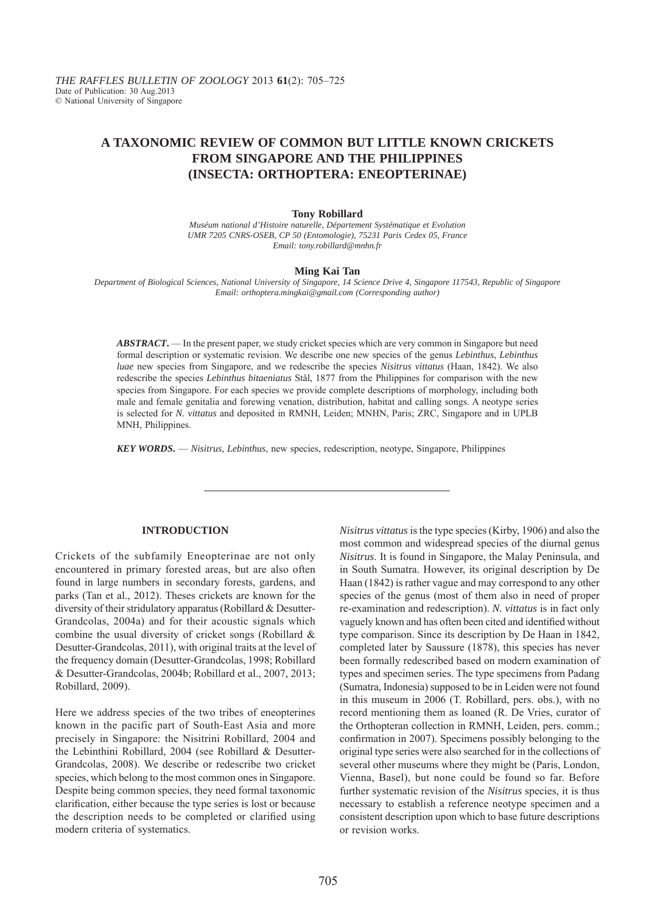# **A TAXONOMIC REVIEW OF COMMON BUT LITTLE KNOWN CRICKETS FROM SINGAPORE AND THE PHILIPPINES (INSECTA: ORTHOPTERA: ENEOPTERINAE)**

#### **Tony Robillard**

*Muséum national d'Histoire naturelle, Département Systématique et Evolution UMR 7205 CNRS-OSEB, CP 50 (Entomologie), 75231 Paris Cedex 05, France Email: tony.robillard@mnhn.fr*

#### **Ming Kai Tan**

*Department of Biological Sciences, National University of Singapore, 14 Science Drive 4, Singapore 117543, Republic of Singapore Email: orthoptera.mingkai@gmail.com (Corresponding author)*

*ABSTRACT***.** — In the present paper, we study cricket species which are very common in Singapore but need formal description or systematic revision. We describe one new species of the genus *Lebinthus*, *Lebinthus luae* new species from Singapore, and we redescribe the species *Nisitrus vittatus* (Haan, 1842). We also redescribe the species *Lebinthus bitaeniatus* Stål, 1877 from the Philippines for comparison with the new species from Singapore. For each species we provide complete descriptions of morphology, including both male and female genitalia and forewing venation, distribution, habitat and calling songs. A neotype series is selected for *N. vittatus* and deposited in RMNH, Leiden; MNHN, Paris; ZRC, Singapore and in UPLB MNH, Philippines.

*KEY WORDS***.** — *Nisitrus, Lebinthus*, new species, redescription, neotype, Singapore, Philippines

# **INTRODUCTION**

Crickets of the subfamily Eneopterinae are not only encountered in primary forested areas, but are also often found in large numbers in secondary forests, gardens, and parks (Tan et al., 2012). Theses crickets are known for the diversity of their stridulatory apparatus (Robillard & Desutter-Grandcolas, 2004a) and for their acoustic signals which combine the usual diversity of cricket songs (Robillard & Desutter-Grandcolas, 2011), with original traits at the level of the frequency domain (Desutter-Grandcolas, 1998; Robillard & Desutter-Grandcolas, 2004b; Robillard et al., 2007, 2013; Robillard, 2009).

Here we address species of the two tribes of eneopterines known in the pacific part of South-East Asia and more precisely in Singapore: the Nisitrini Robillard, 2004 and the Lebinthini Robillard, 2004 (see Robillard & Desutter-Grandcolas, 2008). We describe or redescribe two cricket species, which belong to the most common ones in Singapore. Despite being common species, they need formal taxonomic clarification, either because the type series is lost or because the description needs to be completed or clarified using modern criteria of systematics.

*Nisitrus vittatus* is the type species (Kirby, 1906) and also the most common and widespread species of the diurnal genus *Nisitrus*. It is found in Singapore, the Malay Peninsula, and in South Sumatra. However, its original description by De Haan (1842) is rather vague and may correspond to any other species of the genus (most of them also in need of proper re-examination and redescription). *N. vittatus* is in fact only vaguely known and has often been cited and identified without type comparison. Since its description by De Haan in 1842, completed later by Saussure (1878), this species has never been formally redescribed based on modern examination of types and specimen series. The type specimens from Padang (Sumatra, Indonesia) supposed to be in Leiden were not found in this museum in 2006 (T. Robillard, pers. obs.), with no record mentioning them as loaned (R. De Vries, curator of the Orthopteran collection in RMNH, Leiden, pers. comm.; confirmation in 2007). Specimens possibly belonging to the original type series were also searched for in the collections of several other museums where they might be (Paris, London, Vienna, Basel), but none could be found so far. Before further systematic revision of the *Nisitrus* species, it is thus necessary to establish a reference neotype specimen and a consistent description upon which to base future descriptions or revision works.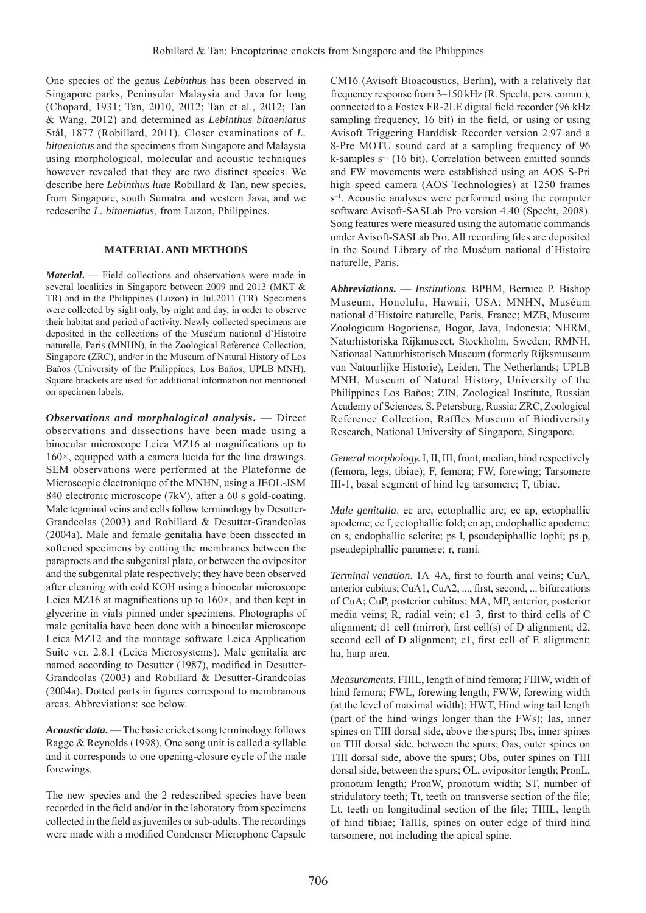One species of the genus *Lebinthus* has been observed in Singapore parks, Peninsular Malaysia and Java for long (Chopard, 1931; Tan, 2010, 2012; Tan et al., 2012; Tan & Wang, 2012) and determined as *Lebinthus bitaeniatus* Stål, 1877 (Robillard, 2011). Closer examinations of *L. bitaeniatus* and the specimens from Singapore and Malaysia using morphological, molecular and acoustic techniques however revealed that they are two distinct species. We describe here *Lebinthus luae* Robillard & Tan, new species, from Singapore, south Sumatra and western Java, and we redescribe *L. bitaeniatus*, from Luzon, Philippines.

# **MATERIAL AND METHODS**

*Material***.** — Field collections and observations were made in several localities in Singapore between 2009 and 2013 (MKT & TR) and in the Philippines (Luzon) in Jul.2011 (TR). Specimens were collected by sight only, by night and day, in order to observe their habitat and period of activity. Newly collected specimens are deposited in the collections of the Muséum national d'Histoire naturelle, Paris (MNHN), in the Zoological Reference Collection, Singapore (ZRC), and/or in the Museum of Natural History of Los Baňos (University of the Philippines, Los Baňos; UPLB MNH). Square brackets are used for additional information not mentioned on specimen labels.

*Observations and morphological analysis***.** — Direct observations and dissections have been made using a binocular microscope Leica MZ16 at magnifications up to 160×, equipped with a camera lucida for the line drawings. SEM observations were performed at the Plateforme de Microscopie électronique of the MNHN, using a JEOL-JSM 840 electronic microscope (7kV), after a 60 s gold-coating. Male tegminal veins and cells follow terminology by Desutter-Grandcolas (2003) and Robillard & Desutter-Grandcolas (2004a). Male and female genitalia have been dissected in softened specimens by cutting the membranes between the paraprocts and the subgenital plate, or between the ovipositor and the subgenital plate respectively; they have been observed after cleaning with cold KOH using a binocular microscope Leica MZ16 at magnifications up to  $160\times$ , and then kept in glycerine in vials pinned under specimens. Photographs of male genitalia have been done with a binocular microscope Leica MZ12 and the montage software Leica Application Suite ver. 2.8.1 (Leica Microsystems). Male genitalia are named according to Desutter (1987), modified in Desutter-Grandcolas (2003) and Robillard & Desutter-Grandcolas  $(2004a)$ . Dotted parts in figures correspond to membranous areas. Abbreviations: see below.

*Acoustic data***.** — The basic cricket song terminology follows Ragge & Reynolds (1998). One song unit is called a syllable and it corresponds to one opening-closure cycle of the male forewings.

The new species and the 2 redescribed species have been recorded in the field and/or in the laboratory from specimens collected in the field as juveniles or sub-adults. The recordings were made with a modified Condenser Microphone Capsule

CM16 (Avisoft Bioacoustics, Berlin), with a relatively flat frequency response from 3–150 kHz (R. Specht, pers. comm.), connected to a Fostex FR-2LE digital field recorder (96 kHz sampling frequency, 16 bit) in the field, or using or using Avisoft Triggering Harddisk Recorder version 2.97 and a 8-Pre MOTU sound card at a sampling frequency of 96 k-samples s–1 (16 bit). Correlation between emitted sounds and FW movements were established using an AOS S-Pri high speed camera (AOS Technologies) at 1250 frames  $s^{-1}$ . Acoustic analyses were performed using the computer software Avisoft-SASLab Pro version 4.40 (Specht, 2008). Song features were measured using the automatic commands under Avisoft-SASLab Pro. All recording files are deposited in the Sound Library of the Muséum national d'Histoire naturelle, Paris.

*Abbreviations***.** — *Institutions.* BPBM, Bernice P. Bishop Museum, Honolulu, Hawaii, USA; MNHN, Muséum national d'Histoire naturelle, Paris, France; MZB, Museum Zoologicum Bogoriense, Bogor, Java, Indonesia; NHRM, Naturhistoriska Rijkmuseet, Stockholm, Sweden; RMNH, Nationaal Natuurhistorisch Museum (formerly Rijksmuseum van Natuurlijke Historie), Leiden, The Netherlands; UPLB MNH, Museum of Natural History, University of the Philippines Los Baños; ZIN, Zoological Institute, Russian Academy of Sciences, S. Petersburg, Russia; ZRC, Zoological Reference Collection, Raffles Museum of Biodiversity Research, National University of Singapore, Singapore.

*General morphology.* I, II, III, front, median, hind respectively (femora, legs, tibiae); F, femora; FW, forewing; Tarsomere III-1, basal segment of hind leg tarsomere; T, tibiae.

*Male genitalia*. ec arc, ectophallic arc; ec ap, ectophallic apodeme; ec f, ectophallic fold; en ap, endophallic apodeme; en s, endophallic sclerite; ps l, pseudepiphallic lophi; ps p, pseudepiphallic paramere; r, rami.

*Terminal venation.* 1A–4A, first to fourth anal veins; CuA, anterior cubitus; CuA1, CuA2, ..., first, second, ... bifurcations of CuA; CuP, posterior cubitus; MA, MP, anterior, posterior media veins; R, radial vein;  $c1-3$ , first to third cells of C alignment; d1 cell (mirror), first cell(s) of D alignment; d2, second cell of D alignment; e1, first cell of E alignment; ha, harp area.

*Measurements*. FIIIL, length of hind femora; FIIIW, width of hind femora; FWL, forewing length; FWW, forewing width (at the level of maximal width); HWT, Hind wing tail length (part of the hind wings longer than the FWs); Ias, inner spines on TIII dorsal side, above the spurs; Ibs, inner spines on TIII dorsal side, between the spurs; Oas, outer spines on TIII dorsal side, above the spurs; Obs, outer spines on TIII dorsal side, between the spurs; OL, ovipositor length; PronL, pronotum length; PronW, pronotum width; ST, number of stridulatory teeth; Tt, teeth on transverse section of the file; Lt, teeth on longitudinal section of the file; TIIIL, length of hind tibiae; TaIIIs, spines on outer edge of third hind tarsomere, not including the apical spine.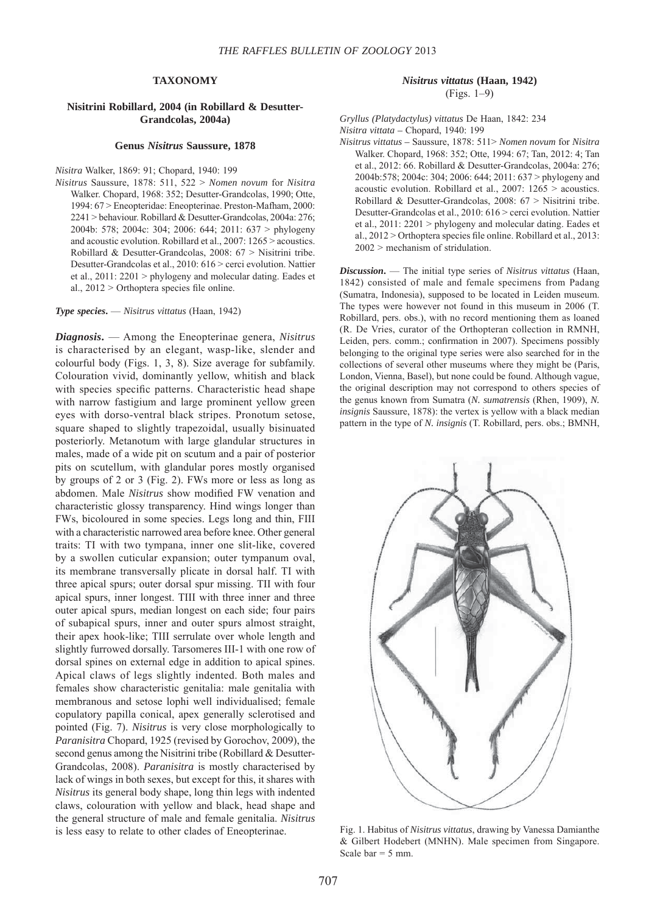## **TAXONOMY**

### **Nisitrini Robillard, 2004 (in Robillard & Desutter-Grandcolas, 2004a)**

#### **Genus** *Nisitrus* **Saussure, 1878**

#### *Nisitra* Walker, 1869: 91; Chopard, 1940: 199

*Nisitrus* Saussure, 1878: 511, 522 > *Nomen novum* for *Nisitra* Walker. Chopard, 1968: 352; Desutter-Grandcolas, 1990; Otte, 1994: 67 > Eneopteridae: Eneopterinae. Preston-Mafham, 2000: 2241 > behaviour. Robillard & Desutter-Grandcolas, 2004a: 276; 2004b: 578; 2004c: 304; 2006: 644; 2011: 637 > phylogeny and acoustic evolution. Robillard et al., 2007: 1265 > acoustics. Robillard & Desutter-Grandcolas, 2008: 67 > Nisitrini tribe. Desutter-Grandcolas et al., 2010: 616 > cerci evolution. Nattier et al., 2011: 2201 > phylogeny and molecular dating. Eades et al.,  $2012 >$  Orthoptera species file online.

### *Type species***.** — *Nisitrus vittatus* (Haan, 1942)

*Diagnosis***.** — Among the Eneopterinae genera, *Nisitrus* is characterised by an elegant, wasp-like, slender and colourful body (Figs. 1, 3, 8). Size average for subfamily. Colouration vivid, dominantly yellow, whitish and black with species specific patterns. Characteristic head shape with narrow fastigium and large prominent yellow green eyes with dorso-ventral black stripes. Pronotum setose, square shaped to slightly trapezoidal, usually bisinuated posteriorly. Metanotum with large glandular structures in males, made of a wide pit on scutum and a pair of posterior pits on scutellum, with glandular pores mostly organised by groups of 2 or 3 (Fig. 2). FWs more or less as long as abdomen. Male *Nisitrus* show modified FW venation and characteristic glossy transparency. Hind wings longer than FWs, bicoloured in some species. Legs long and thin, FIII with a characteristic narrowed area before knee. Other general traits: TI with two tympana, inner one slit-like, covered by a swollen cuticular expansion; outer tympanum oval, its membrane transversally plicate in dorsal half. TI with three apical spurs; outer dorsal spur missing. TII with four apical spurs, inner longest. TIII with three inner and three outer apical spurs, median longest on each side; four pairs of subapical spurs, inner and outer spurs almost straight, their apex hook-like; TIII serrulate over whole length and slightly furrowed dorsally. Tarsomeres III-1 with one row of dorsal spines on external edge in addition to apical spines. Apical claws of legs slightly indented. Both males and females show characteristic genitalia: male genitalia with membranous and setose lophi well individualised; female copulatory papilla conical, apex generally sclerotised and pointed (Fig. 7). *Nisitrus* is very close morphologically to *Paranisitra* Chopard, 1925 (revised by Gorochov, 2009), the second genus among the Nisitrini tribe (Robillard & Desutter-Grandcolas, 2008). *Paranisitra* is mostly characterised by lack of wings in both sexes, but except for this, it shares with *Nisitrus* its general body shape, long thin legs with indented claws, colouration with yellow and black, head shape and the general structure of male and female genitalia. *Nisitrus* is less easy to relate to other clades of Eneopterinae.

# *Nisitrus vittatus* **(Haan, 1942)** (Figs. 1–9)

*Gryllus (Platydactylus) vittatus* De Haan, 1842: 234 *Nisitra vittata –* Chopard, 1940: 199

*Nisitrus vittatus –* Saussure, 1878: 511> *Nomen novum* for *Nisitra* Walker. Chopard, 1968: 352; Otte, 1994: 67; Tan, 2012: 4; Tan et al., 2012: 66. Robillard & Desutter-Grandcolas, 2004a: 276; 2004b:578; 2004c: 304; 2006: 644; 2011: 637 > phylogeny and acoustic evolution. Robillard et al., 2007: 1265 > acoustics. Robillard & Desutter-Grandcolas, 2008: 67 > Nisitrini tribe. Desutter-Grandcolas et al., 2010: 616 > cerci evolution. Nattier et al., 2011: 2201 > phylogeny and molecular dating. Eades et al.,  $2012 >$  Orthoptera species file online. Robillard et al.,  $2013$ : 2002 > mechanism of stridulation.

*Discussion***.** — The initial type series of *Nisitrus vittatus* (Haan, 1842) consisted of male and female specimens from Padang (Sumatra, Indonesia), supposed to be located in Leiden museum. The types were however not found in this museum in 2006 (T. Robillard, pers. obs.), with no record mentioning them as loaned (R. De Vries, curator of the Orthopteran collection in RMNH, Leiden, pers. comm.; confirmation in 2007). Specimens possibly belonging to the original type series were also searched for in the collections of several other museums where they might be (Paris, London, Vienna, Basel), but none could be found. Although vague, the original description may not correspond to others species of the genus known from Sumatra (*N. sumatrensis* (Rhen, 1909), *N. insignis* Saussure, 1878): the vertex is yellow with a black median pattern in the type of *N. insignis* (T. Robillard, pers. obs.; BMNH,



Fig. 1. Habitus of *Nisitrus vittatus*, drawing by Vanessa Damianthe & Gilbert Hodebert (MNHN). Male specimen from Singapore. Scale bar  $= 5$  mm.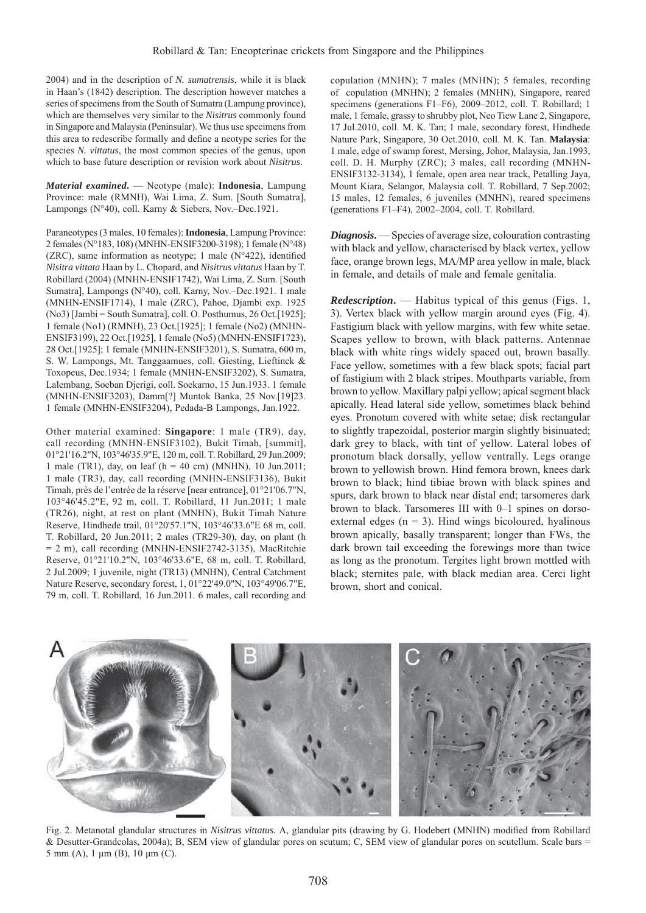2004) and in the description of *N. sumatrensis*, while it is black in Haan's (1842) description. The description however matches a series of specimens from the South of Sumatra (Lampung province), which are themselves very similar to the *Nisitrus* commonly found in Singapore and Malaysia (Peninsular). We thus use specimens from this area to redescribe formally and define a neotype series for the species *N. vittatus*, the most common species of the genus, upon which to base future description or revision work about *Nisitrus*.

*Material examined***.** — Neotype (male): **Indonesia**, Lampung Province: male (RMNH), Wai Lima, Z. Sum. [South Sumatra], Lampongs (N°40), coll. Karny & Siebers, Nov.–Dec.1921.

Paraneotypes (3 males, 10 females): **Indonesia**, Lampung Province: 2 females (N°183, 108) (MNHN-ENSIF3200-3198); 1 female (N°48) (ZRC), same information as neotype; 1 male ( $N^{\circ}422$ ), identified *Nisitra vittata* Haan by L. Chopard, and *Nisitrus vittatus* Haan by T. Robillard (2004) (MNHN-ENSIF1742), Wai Lima, Z. Sum. [South Sumatra], Lampongs (N°40), coll. Karny, Nov.–Dec.1921. 1 male (MNHN-ENSIF1714), 1 male (ZRC), Pahoe, Djambi exp. 1925 (No3) [Jambi = South Sumatra], coll. O. Posthumus, 26 Oct.[1925]; 1 female (No1) (RMNH), 23 Oct.[1925]; 1 female (No2) (MNHN-ENSIF3199), 22 Oct.[1925], 1 female (No5) (MNHN-ENSIF1723), 28 Oct.[1925]; 1 female (MNHN-ENSIF3201), S. Sumatra, 600 m, S. W. Lampongs, Mt. Tanggaamues, coll. Giesting, Lieftinck & Toxopeus, Dec.1934; 1 female (MNHN-ENSIF3202), S. Sumatra, Lalembang, Soeban Djerigi, coll. Soekarno, 15 Jun.1933. 1 female (MNHN-ENSIF3203), Damm[?] Muntok Banka, 25 Nov.[19]23. 1 female (MNHN-ENSIF3204), Pedada-B Lampongs, Jan.1922.

Other material examined: **Singapore**: 1 male (TR9), day, call recording (MNHN-ENSIF3102), Bukit Timah, [summit], 01°21'16.2"N, 103°46'35.9"E, 120 m, coll. T. Robillard, 29 Jun.2009; 1 male (TR1), day, on leaf (h = 40 cm) (MNHN), 10 Jun.2011; 1 male (TR3), day, call recording (MNHN-ENSIF3136), Bukit Timah, près de l'entrée de la réserve [near entrance], 01°21'06.7"N, 103°46'45.2"E, 92 m, coll. T. Robillard, 11 Jun.2011; 1 male (TR26), night, at rest on plant (MNHN), Bukit Timah Nature Reserve, Hindhede trail, 01°20'57.1"N, 103°46'33.6"E 68 m, coll. T. Robillard, 20 Jun.2011; 2 males (TR29-30), day, on plant (h = 2 m), call recording (MNHN-ENSIF2742-3135), MacRitchie Reserve, 01°21'10.2"N, 103°46'33.6"E, 68 m, coll. T. Robillard, 2 Jul.2009; 1 juvenile, night (TR13) (MNHN), Central Catchment Nature Reserve, secondary forest, 1, 01°22'49.0"N, 103°49'06.7"E, 79 m, coll. T. Robillard, 16 Jun.2011. 6 males, call recording and

copulation (MNHN); 7 males (MNHN); 5 females, recording of copulation (MNHN); 2 females (MNHN), Singapore, reared specimens (generations F1–F6), 2009–2012, coll. T. Robillard; 1 male, 1 female, grassy to shrubby plot, Neo Tiew Lane 2, Singapore, 17 Jul.2010, coll. M. K. Tan; 1 male, secondary forest, Hindhede Nature Park, Singapore, 30 Oct.2010, coll. M. K. Tan. **Malaysia**: 1 male, edge of swamp forest, Mersing, Johor, Malaysia, Jan.1993, coll. D. H. Murphy (ZRC); 3 males, call recording (MNHN-ENSIF3132-3134), 1 female, open area near track, Petalling Jaya, Mount Kiara, Selangor, Malaysia coll. T. Robillard, 7 Sep.2002; 15 males, 12 females, 6 juveniles (MNHN), reared specimens (generations F1–F4), 2002–2004, coll. T. Robillard.

*Diagnosis***.** — Species of average size, colouration contrasting with black and yellow, characterised by black vertex, yellow face, orange brown legs, MA/MP area yellow in male, black in female, and details of male and female genitalia.

*Redescription***.** — Habitus typical of this genus (Figs. 1, 3). Vertex black with yellow margin around eyes (Fig. 4). Fastigium black with yellow margins, with few white setae. Scapes yellow to brown, with black patterns. Antennae black with white rings widely spaced out, brown basally. Face yellow, sometimes with a few black spots; facial part of fastigium with 2 black stripes. Mouthparts variable, from brown to yellow. Maxillary palpi yellow; apical segment black apically. Head lateral side yellow, sometimes black behind eyes. Pronotum covered with white setae; disk rectangular to slightly trapezoidal, posterior margin slightly bisinuated; dark grey to black, with tint of yellow. Lateral lobes of pronotum black dorsally, yellow ventrally. Legs orange brown to yellowish brown. Hind femora brown, knees dark brown to black; hind tibiae brown with black spines and spurs, dark brown to black near distal end; tarsomeres dark brown to black. Tarsomeres III with 0–1 spines on dorsoexternal edges  $(n = 3)$ . Hind wings bicoloured, hyalinous brown apically, basally transparent; longer than FWs, the dark brown tail exceeding the forewings more than twice as long as the pronotum. Tergites light brown mottled with black; sternites pale, with black median area. Cerci light brown, short and conical.



Fig. 2. Metanotal glandular structures in *Nisitrus vittatus*. A, glandular pits (drawing by G. Hodebert (MNHN) modified from Robillard & Desutter-Grandcolas, 2004a); B, SEM view of glandular pores on scutum; C, SEM view of glandular pores on scutellum. Scale bars = 5 mm (A), 1 μm (B), 10 μm (C).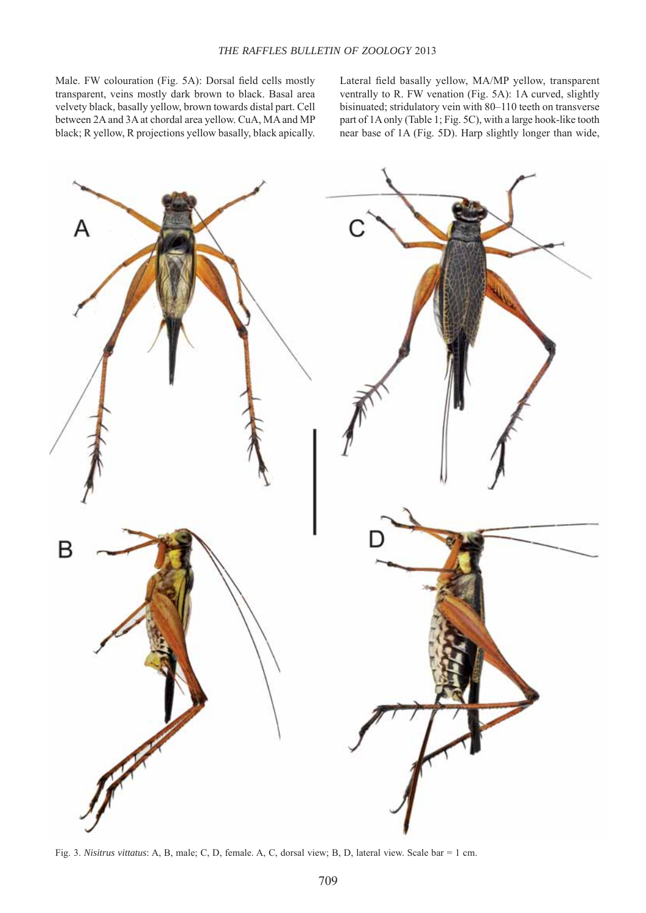Male. FW colouration (Fig. 5A): Dorsal field cells mostly transparent, veins mostly dark brown to black. Basal area velvety black, basally yellow, brown towards distal part. Cell between 2A and 3A at chordal area yellow. CuA, MA and MP black; R yellow, R projections yellow basally, black apically.

Lateral field basally yellow, MA/MP yellow, transparent ventrally to R. FW venation (Fig. 5A): 1A curved, slightly bisinuated; stridulatory vein with 80–110 teeth on transverse part of 1A only (Table 1; Fig. 5C), with a large hook-like tooth near base of 1A (Fig. 5D). Harp slightly longer than wide,



Fig. 3. *Nisitrus vittatus*: A, B, male; C, D, female. A, C, dorsal view; B, D, lateral view. Scale bar = 1 cm.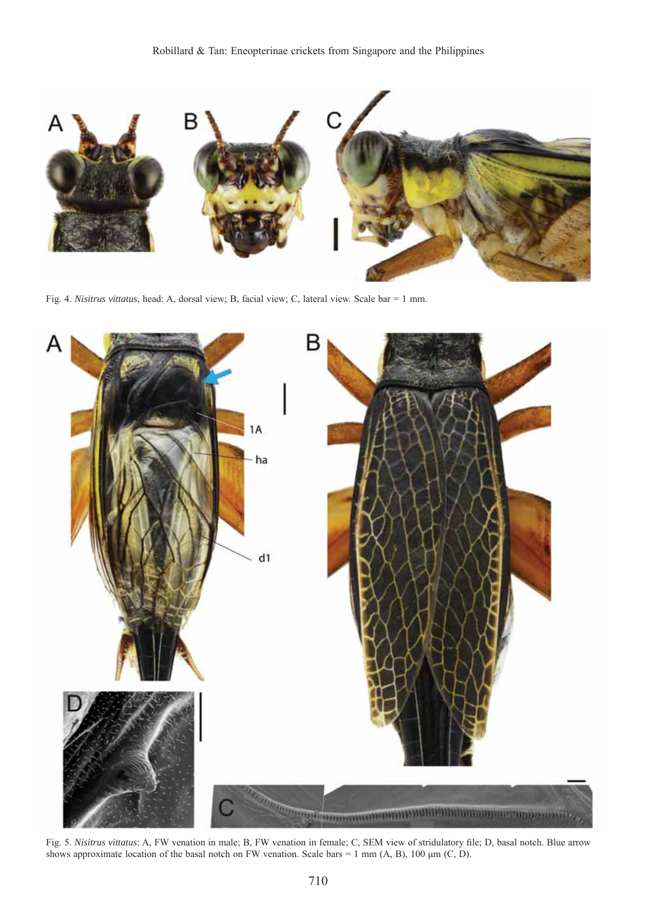

Fig. 4. *Nisitrus vittatus*, head: A, dorsal view; B, facial view; C, lateral view. Scale bar = 1 mm.



Fig. 5. Nisitrus vittatus: A, FW venation in male; B, FW venation in female; C, SEM view of stridulatory file; D, basal notch. Blue arrow shows approximate location of the basal notch on FW venation. Scale bars = 1 mm (A, B), 100  $\mu$ m (C, D).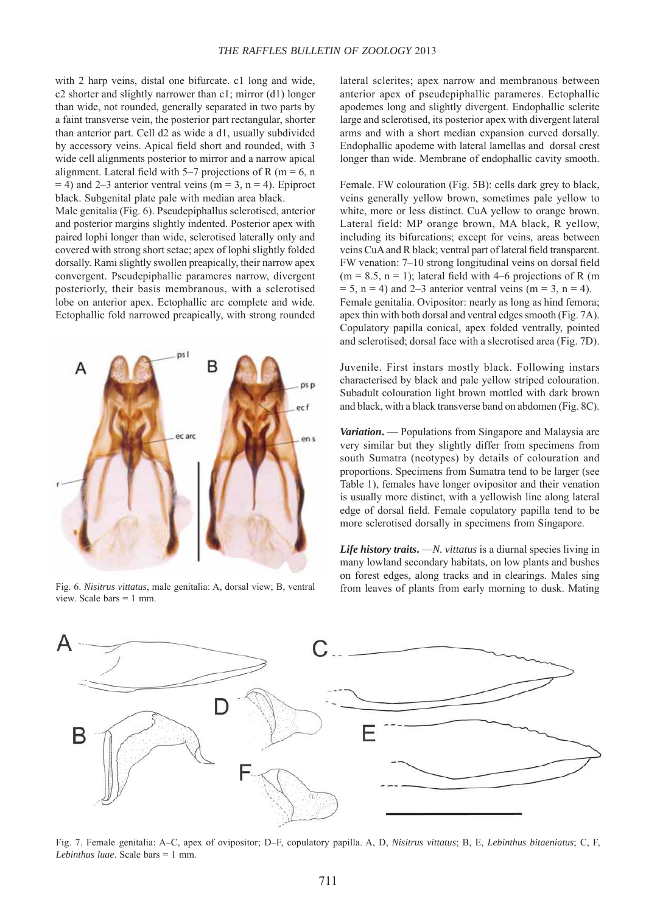with 2 harp veins, distal one bifurcate. c1 long and wide, c2 shorter and slightly narrower than c1; mirror (d1) longer than wide, not rounded, generally separated in two parts by a faint transverse vein, the posterior part rectangular, shorter than anterior part. Cell d2 as wide a d1, usually subdivided by accessory veins. Apical field short and rounded, with 3 wide cell alignments posterior to mirror and a narrow apical alignment. Lateral field with 5–7 projections of R (m = 6, n)  $= 4$ ) and 2–3 anterior ventral veins (m = 3, n = 4). Epiproct black. Subgenital plate pale with median area black.

Male genitalia (Fig. 6). Pseudepiphallus sclerotised, anterior and posterior margins slightly indented. Posterior apex with paired lophi longer than wide, sclerotised laterally only and covered with strong short setae; apex of lophi slightly folded dorsally. Rami slightly swollen preapically, their narrow apex convergent. Pseudepiphallic parameres narrow, divergent posteriorly, their basis membranous, with a sclerotised lobe on anterior apex. Ectophallic arc complete and wide. Ectophallic fold narrowed preapically, with strong rounded



Fig. 6. *Nisitrus vittatus*, male genitalia: A, dorsal view; B, ventral view. Scale bars = 1 mm.

lateral sclerites; apex narrow and membranous between anterior apex of pseudepiphallic parameres. Ectophallic apodemes long and slightly divergent. Endophallic sclerite large and sclerotised, its posterior apex with divergent lateral arms and with a short median expansion curved dorsally. Endophallic apodeme with lateral lamellas and dorsal crest longer than wide. Membrane of endophallic cavity smooth.

Female. FW colouration (Fig. 5B): cells dark grey to black, veins generally yellow brown, sometimes pale yellow to white, more or less distinct. CuA yellow to orange brown. Lateral field: MP orange brown, MA black, R yellow, including its bifurcations; except for veins, areas between veins CuA and R black; ventral part of lateral field transparent. FW venation: 7–10 strong longitudinal veins on dorsal field  $(m = 8.5, n = 1)$ ; lateral field with 4–6 projections of R (m)  $= 5$ , n = 4) and 2–3 anterior ventral veins (m = 3, n = 4). Female genitalia. Ovipositor: nearly as long as hind femora; apex thin with both dorsal and ventral edges smooth (Fig. 7A). Copulatory papilla conical, apex folded ventrally, pointed and sclerotised; dorsal face with a slecrotised area (Fig. 7D).

Juvenile. First instars mostly black. Following instars characterised by black and pale yellow striped colouration. Subadult colouration light brown mottled with dark brown and black, with a black transverse band on abdomen (Fig. 8C).

*Variation***.** — Populations from Singapore and Malaysia are very similar but they slightly differ from specimens from south Sumatra (neotypes) by details of colouration and proportions. Specimens from Sumatra tend to be larger (see Table 1), females have longer ovipositor and their venation is usually more distinct, with a yellowish line along lateral edge of dorsal field. Female copulatory papilla tend to be more sclerotised dorsally in specimens from Singapore.

*Life history traits***.** —*N. vittatus* is a diurnal species living in many lowland secondary habitats, on low plants and bushes on forest edges, along tracks and in clearings. Males sing from leaves of plants from early morning to dusk. Mating



Fig. 7. Female genitalia: A–C, apex of ovipositor; D–F, copulatory papilla. A, D, *Nisitrus vittatus*; B, E, *Lebinthus bitaeniatus*; C, F, *Lebinthus luae*. Scale bars = 1 mm.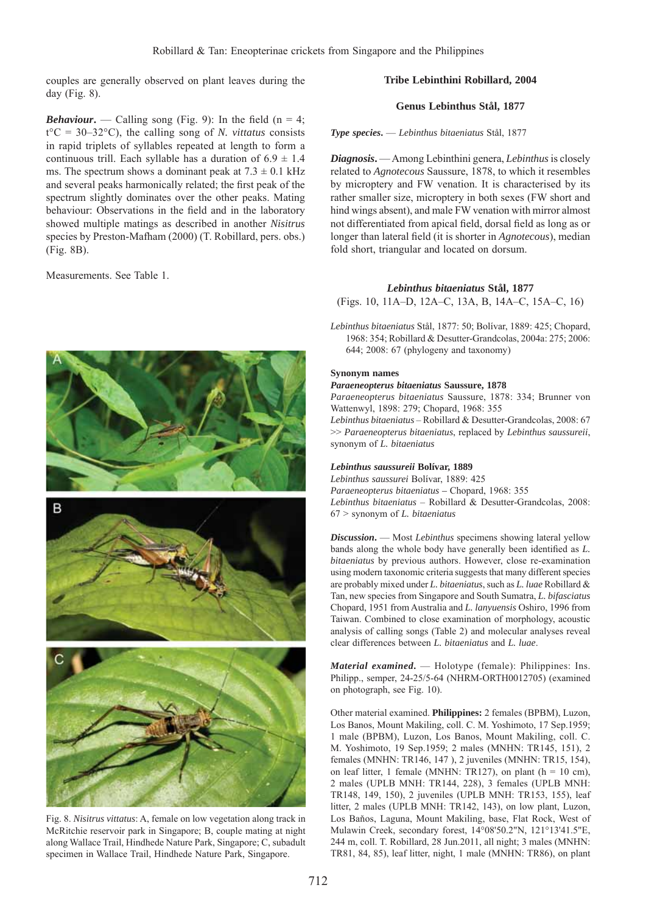couples are generally observed on plant leaves during the day (Fig. 8).

# **Tribe Lebinthini Robillard, 2004**

### **Genus Lebinthus Stål, 1877**

*Type species***.** — *Lebinthus bitaeniatus* Stål, 1877

*Diagnosis***.** — Among Lebinthini genera, *Lebinthus* is closely related to *Agnotecous* Saussure, 1878, to which it resembles by microptery and FW venation. It is characterised by its rather smaller size, microptery in both sexes (FW short and hind wings absent), and male FW venation with mirror almost not differentiated from apical field, dorsal field as long as or longer than lateral field (it is shorter in *Agnotecous*), median fold short, triangular and located on dorsum.

### *Lebinthus bitaeniatus* **Stål, 1877**

(Figs. 10, 11A–D, 12A–C, 13A, B, 14A–C, 15A–C, 16)

*Lebinthus bitaeniatus* Stål, 1877: 50; Bolívar, 1889: 425; Chopard, 1968: 354; Robillard & Desutter-Grandcolas, 2004a: 275; 2006: 644; 2008: 67 (phylogeny and taxonomy)

### **Synonym names**

#### *Paraeneopterus bitaeniatus* **Saussure, 1878**

*Paraeneopterus bitaeniatus* Saussure, 1878: 334; Brunner von Wattenwyl, 1898: 279; Chopard, 1968: 355

*Lebinthus bitaeniatus* – Robillard & Desutter-Grandcolas, 2008: 67 >> *Paraeneopterus bitaeniatus*, replaced by *Lebinthus saussureii*, synonym of *L. bitaeniatus*

### *Lebinthus saussureii* **Bolívar, 1889**

*Lebinthus saussurei* Bolívar, 1889: 425

*Paraeneopterus bitaeniatus –* Chopard, 1968: 355 *Lebinthus bitaeniatus* – Robillard & Desutter-Grandcolas, 2008: 67 > synonym of *L. bitaeniatus*

*Discussion***.** — Most *Lebinthus* specimens showing lateral yellow bands along the whole body have generally been identified as *L*. *bitaeniatus* by previous authors. However, close re-examination using modern taxonomic criteria suggests that many different species are probably mixed under *L. bitaeniatus*, such as *L. luae* Robillard & Tan, new species from Singapore and South Sumatra, *L. bifasciatus* Chopard, 1951 from Australia and *L. lanyuensis* Oshiro, 1996 from Taiwan. Combined to close examination of morphology, acoustic analysis of calling songs (Table 2) and molecular analyses reveal clear differences between *L. bitaeniatus* and *L. luae*.

*Material examined***.** — Holotype (female): Philippines: Ins. Philipp., semper, 24-25/5-64 (NHRM-ORTH0012705) (examined on photograph, see Fig. 10).

Other material examined. **Philippines:** 2 females (BPBM), Luzon, Los Banos, Mount Makiling, coll. C. M. Yoshimoto, 17 Sep.1959; 1 male (BPBM), Luzon, Los Banos, Mount Makiling, coll. C. M. Yoshimoto, 19 Sep.1959; 2 males (MNHN: TR145, 151), 2 females (MNHN: TR146, 147 ), 2 juveniles (MNHN: TR15, 154), on leaf litter, 1 female (MNHN: TR127), on plant ( $h = 10$  cm), 2 males (UPLB MNH: TR144, 228), 3 females (UPLB MNH: TR148, 149, 150), 2 juveniles (UPLB MNH: TR153, 155), leaf litter, 2 males (UPLB MNH: TR142, 143), on low plant, Luzon, Los Baňos, Laguna, Mount Makiling, base, Flat Rock, West of Mulawin Creek, secondary forest, 14°08'50.2"N, 121°13'41.5"E, 244 m, coll. T. Robillard, 28 Jun.2011, all night; 3 males (MNHN: TR81, 84, 85), leaf litter, night, 1 male (MNHN: TR86), on plant

*Behaviour*. — Calling song (Fig. 9): In the field (n = 4;  $t^{\circ}C = 30-32^{\circ}C$ , the calling song of *N. vittatus* consists in rapid triplets of syllables repeated at length to form a continuous trill. Each syllable has a duration of  $6.9 \pm 1.4$ ms. The spectrum shows a dominant peak at  $7.3 \pm 0.1$  kHz and several peaks harmonically related; the first peak of the spectrum slightly dominates over the other peaks. Mating behaviour: Observations in the field and in the laboratory showed multiple matings as described in another *Nisitrus* species by Preston-Mafham (2000) (T. Robillard, pers. obs.) (Fig. 8B).

Measurements. See Table 1.



Fig. 8. *Nisitrus vittatus*: A, female on low vegetation along track in McRitchie reservoir park in Singapore; B, couple mating at night along Wallace Trail, Hindhede Nature Park, Singapore; C, subadult specimen in Wallace Trail, Hindhede Nature Park, Singapore.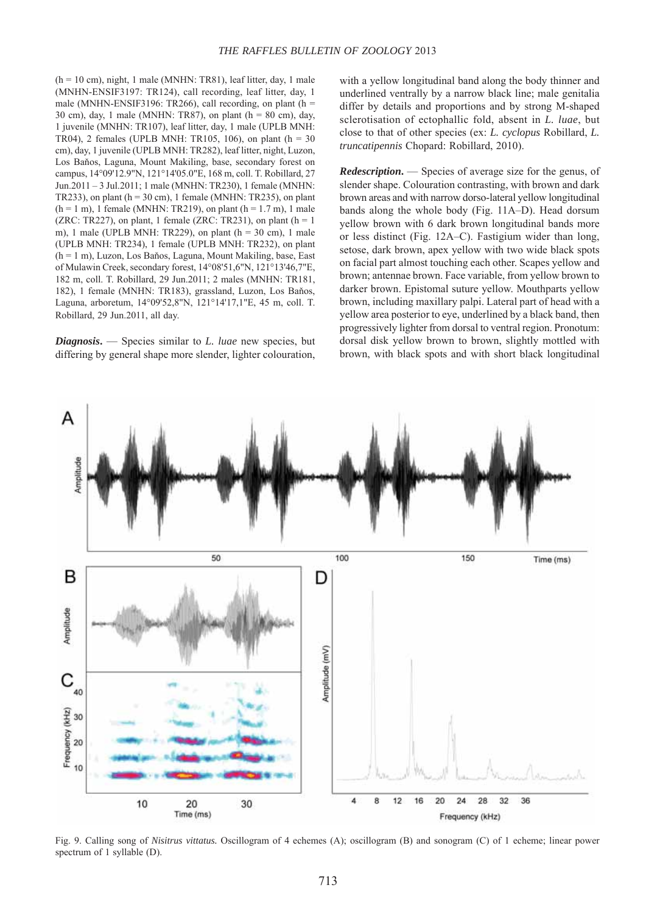$(h = 10 \text{ cm})$ , night, 1 male (MNHN: TR81), leaf litter, day, 1 male (MNHN-ENSIF3197: TR124), call recording, leaf litter, day, 1 male (MNHN-ENSIF3196: TR266), call recording, on plant ( $h =$ 30 cm), day, 1 male (MNHN: TR87), on plant ( $h = 80$  cm), day, 1 juvenile (MNHN: TR107), leaf litter, day, 1 male (UPLB MNH: TR04), 2 females (UPLB MNH: TR105, 106), on plant ( $h = 30$ cm), day, 1 juvenile (UPLB MNH: TR282), leaf litter, night, Luzon, Los Baňos, Laguna, Mount Makiling, base, secondary forest on campus, 14°09'12.9"N, 121°14'05.0"E, 168 m, coll. T. Robillard, 27 Jun.2011 – 3 Jul.2011; 1 male (MNHN: TR230), 1 female (MNHN: TR233), on plant ( $h = 30$  cm), 1 female (MNHN: TR235), on plant  $(h = 1 m)$ , 1 female (MNHN: TR219), on plant  $(h = 1.7 m)$ , 1 male (ZRC: TR227), on plant, 1 female (ZRC: TR231), on plant ( $h = 1$ ) m), 1 male (UPLB MNH: TR229), on plant ( $h = 30$  cm), 1 male (UPLB MNH: TR234), 1 female (UPLB MNH: TR232), on plant (h = 1 m), Luzon, Los Baňos, Laguna, Mount Makiling, base, East of Mulawin Creek, secondary forest, 14°08'51,6"N, 121°13'46,7"E, 182 m, coll. T. Robillard, 29 Jun.2011; 2 males (MNHN: TR181, 182), 1 female (MNHN: TR183), grassland, Luzon, Los Baňos, Laguna, arboretum, 14°09'52,8"N, 121°14'17,1"E, 45 m, coll. T. Robillard, 29 Jun.2011, all day.

*Diagnosis***.** — Species similar to *L. luae* new species, but differing by general shape more slender, lighter colouration, with a yellow longitudinal band along the body thinner and underlined ventrally by a narrow black line; male genitalia differ by details and proportions and by strong M-shaped sclerotisation of ectophallic fold, absent in *L. luae*, but close to that of other species (ex: *L. cyclopus* Robillard, *L. truncatipennis* Chopard: Robillard, 2010).

*Redescription***.** — Species of average size for the genus, of slender shape. Colouration contrasting, with brown and dark brown areas and with narrow dorso-lateral yellow longitudinal bands along the whole body (Fig. 11A–D). Head dorsum yellow brown with 6 dark brown longitudinal bands more or less distinct (Fig. 12A–C). Fastigium wider than long, setose, dark brown, apex yellow with two wide black spots on facial part almost touching each other. Scapes yellow and brown; antennae brown. Face variable, from yellow brown to darker brown. Epistomal suture yellow. Mouthparts yellow brown, including maxillary palpi. Lateral part of head with a yellow area posterior to eye, underlined by a black band, then progressively lighter from dorsal to ventral region. Pronotum: dorsal disk yellow brown to brown, slightly mottled with brown, with black spots and with short black longitudinal



Fig. 9. Calling song of *Nisitrus vittatus.* Oscillogram of 4 echemes (A); oscillogram (B) and sonogram (C) of 1 echeme; linear power spectrum of 1 syllable (D).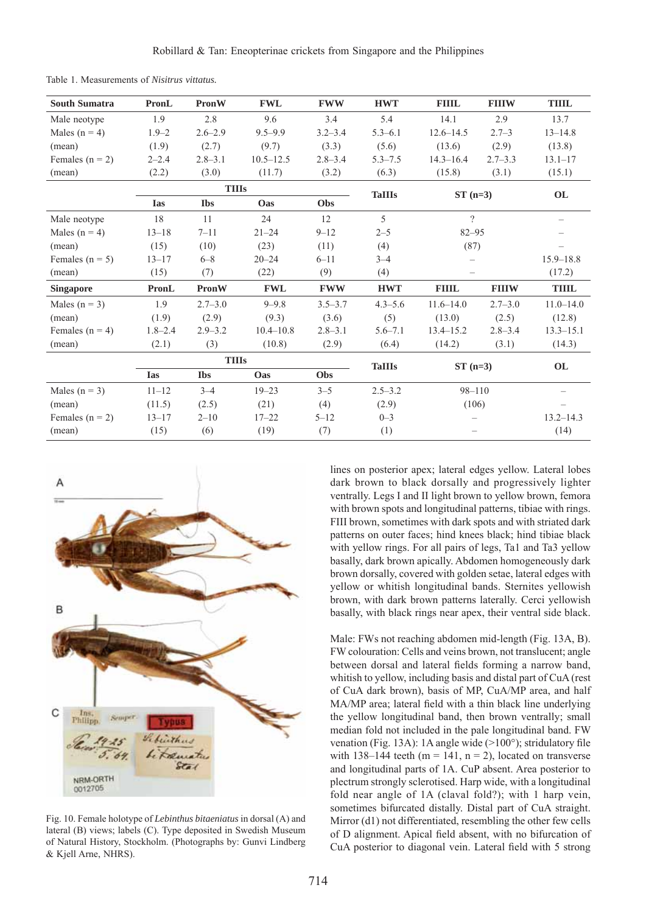| <b>South Sumatra</b> | PronL        | PronW        | <b>FWL</b>     | <b>FWW</b>  | <b>HWT</b>    | <b>FIIIL</b>             | <b>FIIIW</b> | <b>THIL</b>   |
|----------------------|--------------|--------------|----------------|-------------|---------------|--------------------------|--------------|---------------|
| Male neotype         | 1.9          | 2.8          | 9.6            | 3.4         | 5.4           | 14.1                     | 2.9          | 13.7          |
| Males ( $n = 4$ )    | $1.9 - 2$    | $2.6 - 2.9$  | $9.5 - 9.9$    | $3.2 - 3.4$ | $5.3 - 6.1$   | $12.6 - 14.5$            | $2.7 - 3$    | $13 - 14.8$   |
| (mean)               | (1.9)        | (2.7)        | (9.7)          | (3.3)       | (5.6)         | (13.6)                   | (2.9)        | (13.8)        |
| Females ( $n = 2$ )  | $2 - 2.4$    | $2.8 - 3.1$  | $10.5 - 12.5$  | $2.8 - 3.4$ | $5.3 - 7.5$   | $14.3 - 16.4$            | $2.7 - 3.3$  | $13.1 - 17$   |
| (mean)               | (2.2)        | (3.0)        | (11.7)         | (3.2)       | (6.3)         | (15.8)                   | (3.1)        | (15.1)        |
| <b>TIIIs</b>         |              |              |                |             | <b>TaIIIs</b> | $ST(n=3)$                |              | OL            |
|                      | <b>Ias</b>   | <b>Ibs</b>   | Oas            | Obs         |               |                          |              |               |
| Male neotype         | 18           | 11           | 24             | 12          | 5             | $\gamma$                 |              |               |
| Males $(n = 4)$      | $13 - 18$    | $7 - 11$     | $21 - 24$      | $9 - 12$    | $2 - 5$       | $82 - 95$                |              |               |
| (mean)               | (15)         | (10)         | (23)           | (11)        | (4)           | (87)                     |              |               |
| Females ( $n = 5$ )  | $13 - 17$    | $6 - 8$      | $20 - 24$      | $6 - 11$    | $3 - 4$       | $\overline{\phantom{0}}$ |              | $15.9 - 18.8$ |
| (mean)               | (15)         | (7)          | (22)           | (9)         | (4)           | —                        |              | (17.2)        |
| <b>Singapore</b>     | <b>PronL</b> | <b>PronW</b> | $\mathbf{FWL}$ | <b>FWW</b>  | <b>HWT</b>    | <b>FIIIL</b>             | <b>FIIIW</b> | <b>TIIIL</b>  |
| Males ( $n = 3$ )    | 1.9          | $2.7 - 3.0$  | $9 - 9.8$      | $3.5 - 3.7$ | $4.3 - 5.6$   | $11.6 - 14.0$            | $2.7 - 3.0$  | $11.0 - 14.0$ |
| (mean)               | (1.9)        | (2.9)        | (9.3)          | (3.6)       | (5)           | (13.0)                   | (2.5)        | (12.8)        |
| Females $(n = 4)$    | $1.8 - 2.4$  | $2.9 - 3.2$  | $10.4 - 10.8$  | $2.8 - 3.1$ | $5.6 - 7.1$   | $13.4 - 15.2$            | $2.8 - 3.4$  | $13.3 - 15.1$ |
| (mean)               | (2.1)        | (3)          | (10.8)         | (2.9)       | (6.4)         | (14.2)                   | (3.1)        | (14.3)        |
|                      |              | <b>TIIIs</b> |                |             | <b>TaIIIs</b> | $ST(n=3)$                |              | OL            |
|                      | <b>Ias</b>   | <b>Ibs</b>   | Oas            | Obs         |               |                          |              |               |
| Males $(n = 3)$      | $11 - 12$    | $3 - 4$      | $19 - 23$      | $3 - 5$     | $2.5 - 3.2$   | $98 - 110$               |              |               |
| (mean)               | (11.5)       | (2.5)        | (21)           | (4)         | (2.9)         | (106)                    |              |               |
| Females $(n = 2)$    | $13 - 17$    | $2 - 10$     | $17 - 22$      | $5 - 12$    | $0 - 3$       |                          |              | $13.2 - 14.3$ |
| (mean)               | (15)         | (6)          | (19)           | (7)         | (1)           |                          |              | (14)          |

Table 1. Measurements of *Nisitrus vittatus.*



Fig. 10. Female holotype of *Lebinthus bitaeniatus* in dorsal (A) and lateral (B) views; labels (C). Type deposited in Swedish Museum of Natural History, Stockholm. (Photographs by: Gunvi Lindberg & Kjell Arne, NHRS).

lines on posterior apex; lateral edges yellow. Lateral lobes dark brown to black dorsally and progressively lighter ventrally. Legs I and II light brown to yellow brown, femora with brown spots and longitudinal patterns, tibiae with rings. FIII brown, sometimes with dark spots and with striated dark patterns on outer faces; hind knees black; hind tibiae black with yellow rings. For all pairs of legs, Ta1 and Ta3 yellow basally, dark brown apically. Abdomen homogeneously dark brown dorsally, covered with golden setae, lateral edges with yellow or whitish longitudinal bands. Sternites yellowish brown, with dark brown patterns laterally. Cerci yellowish basally, with black rings near apex, their ventral side black.

Male: FWs not reaching abdomen mid-length (Fig. 13A, B). FW colouration: Cells and veins brown, not translucent; angle between dorsal and lateral fields forming a narrow band, whitish to yellow, including basis and distal part of CuA (rest of CuA dark brown), basis of MP, CuA/MP area, and half MA/MP area; lateral field with a thin black line underlying the yellow longitudinal band, then brown ventrally; small median fold not included in the pale longitudinal band. FW venation (Fig. 13A): 1A angle wide  $(>100^{\circ})$ ; stridulatory file with 138–144 teeth ( $m = 141$ ,  $n = 2$ ), located on transverse and longitudinal parts of 1A. CuP absent. Area posterior to plectrum strongly sclerotised. Harp wide, with a longitudinal fold near angle of 1A (claval fold?); with 1 harp vein, sometimes bifurcated distally. Distal part of CuA straight. Mirror (d1) not differentiated, resembling the other few cells of D alignment. Apical field absent, with no bifurcation of CuA posterior to diagonal vein. Lateral field with 5 strong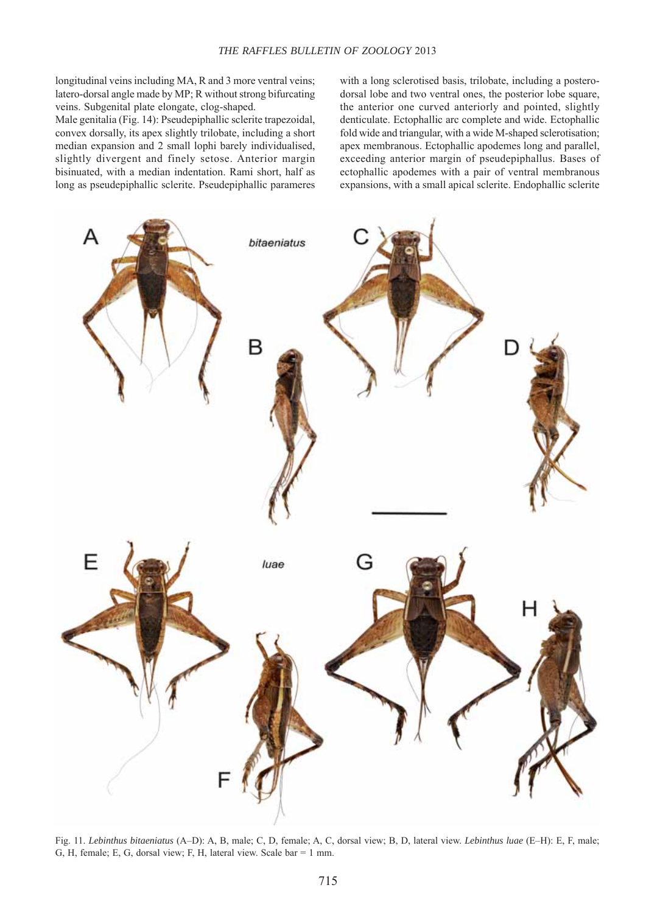longitudinal veins including MA, R and 3 more ventral veins; latero-dorsal angle made by MP; R without strong bifurcating veins. Subgenital plate elongate, clog-shaped.

Male genitalia (Fig. 14): Pseudepiphallic sclerite trapezoidal, convex dorsally, its apex slightly trilobate, including a short median expansion and 2 small lophi barely individualised, slightly divergent and finely setose. Anterior margin bisinuated, with a median indentation. Rami short, half as long as pseudepiphallic sclerite. Pseudepiphallic parameres with a long sclerotised basis, trilobate, including a posterodorsal lobe and two ventral ones, the posterior lobe square, the anterior one curved anteriorly and pointed, slightly denticulate. Ectophallic arc complete and wide. Ectophallic fold wide and triangular, with a wide M-shaped sclerotisation; apex membranous. Ectophallic apodemes long and parallel, exceeding anterior margin of pseudepiphallus. Bases of ectophallic apodemes with a pair of ventral membranous expansions, with a small apical sclerite. Endophallic sclerite



Fig. 11. *Lebinthus bitaeniatus* (A–D): A, B, male; C, D, female; A, C, dorsal view; B, D, lateral view. *Lebinthus luae* (E–H): E, F, male; G, H, female; E, G, dorsal view; F, H, lateral view. Scale bar = 1 mm.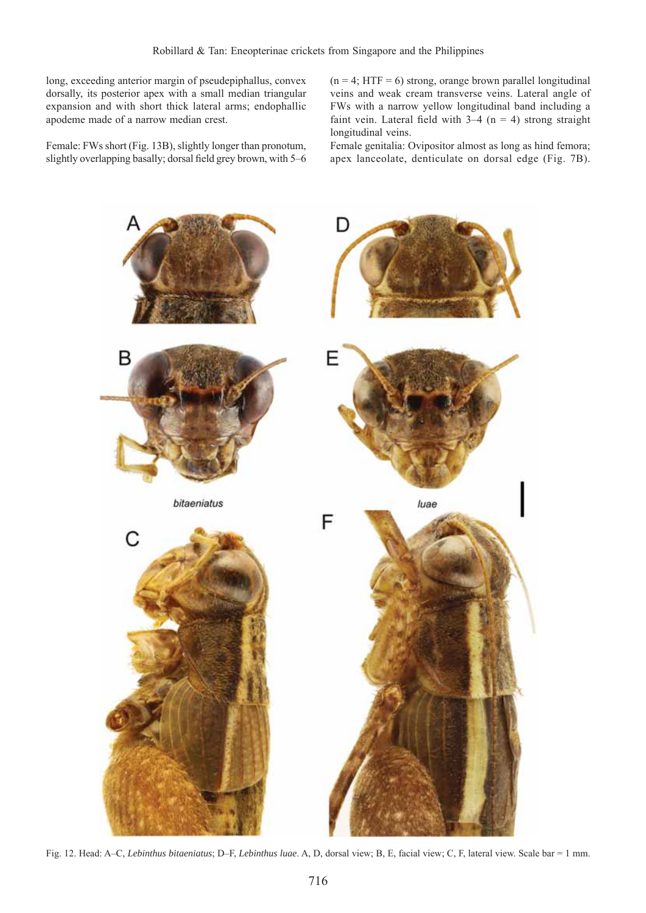long, exceeding anterior margin of pseudepiphallus, convex dorsally, its posterior apex with a small median triangular expansion and with short thick lateral arms; endophallic apodeme made of a narrow median crest.

Female: FWs short (Fig. 13B), slightly longer than pronotum, slightly overlapping basally; dorsal field grey brown, with 5–6  $(n = 4; HTF = 6)$  strong, orange brown parallel longitudinal veins and weak cream transverse veins. Lateral angle of FWs with a narrow yellow longitudinal band including a faint vein. Lateral field with  $3-4$  (n = 4) strong straight longitudinal veins.

Female genitalia: Ovipositor almost as long as hind femora; apex lanceolate, denticulate on dorsal edge (Fig. 7B).



Fig. 12. Head: A–C, *Lebinthus bitaeniatus*; D–F, *Lebinthus luae*. A, D, dorsal view; B, E, facial view; C, F, lateral view. Scale bar = 1 mm.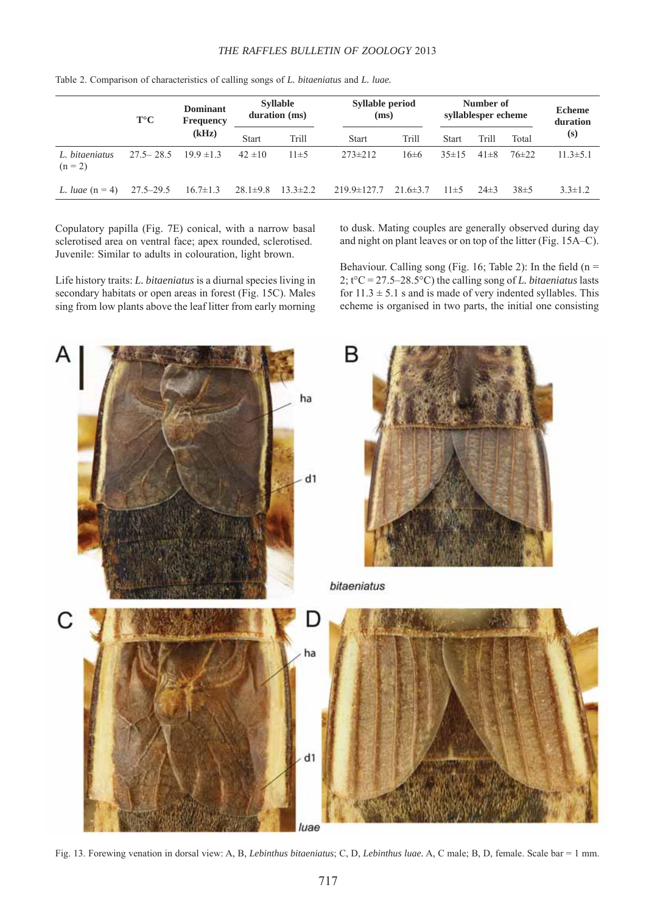### *THE RAFFLES BULLETIN OF ZOOLOGY* 2013

|                             | $T^{\circ}C$  | Dominant<br>Frequency | <b>Syllable</b><br>duration (ms) |                | <b>Syllable period</b><br>(ms) |                | Number of<br>syllablesper echeme |          |           | <b>Echeme</b><br>duration |
|-----------------------------|---------------|-----------------------|----------------------------------|----------------|--------------------------------|----------------|----------------------------------|----------|-----------|---------------------------|
|                             |               | (kHz)                 | <b>Start</b>                     | Trill          | <b>Start</b>                   | Trill          | <b>Start</b>                     | Trill    | Total     | (s)                       |
| L. bitaeniatus<br>$(n = 2)$ | $27.5 - 28.5$ | $19.9 \pm 1.3$        | $42 \pm 10$                      | $11\pm 5$      | $273 \pm 212$                  | 16±6           | $35 \pm 15$                      | $41\pm8$ | $76\pm22$ | $11.3 \pm 5.1$            |
| L. luae $(n = 4)$           | $27.5 - 29.5$ | $16.7 \pm 1.3$        | $28.1 \pm 9.8$                   | $13.3 \pm 2.2$ | $219.9 \pm 127.7$              | $21.6 \pm 3.7$ | $11\pm5$                         | $24\pm3$ | $38\pm5$  | $3.3 \pm 1.2$             |

Table 2. Comparison of characteristics of calling songs of *L. bitaeniatus* and *L. luae.*

Copulatory papilla (Fig. 7E) conical, with a narrow basal sclerotised area on ventral face; apex rounded, sclerotised. Juvenile: Similar to adults in colouration, light brown.

Life history traits: *L. bitaeniatus* is a diurnal species living in secondary habitats or open areas in forest (Fig. 15C). Males sing from low plants above the leaf litter from early morning to dusk. Mating couples are generally observed during day and night on plant leaves or on top of the litter (Fig. 15A–C).

Behaviour. Calling song (Fig. 16; Table 2): In the field ( $n =$ 2; t°C = 27.5–28.5°C) the calling song of *L. bitaeniatus* lasts for  $11.3 \pm 5.1$  s and is made of very indented syllables. This echeme is organised in two parts, the initial one consisting



Fig. 13. Forewing venation in dorsal view: A, B, *Lebinthus bitaeniatus*; C, D, *Lebinthus luae.* A, C male; B, D, female. Scale bar = 1 mm.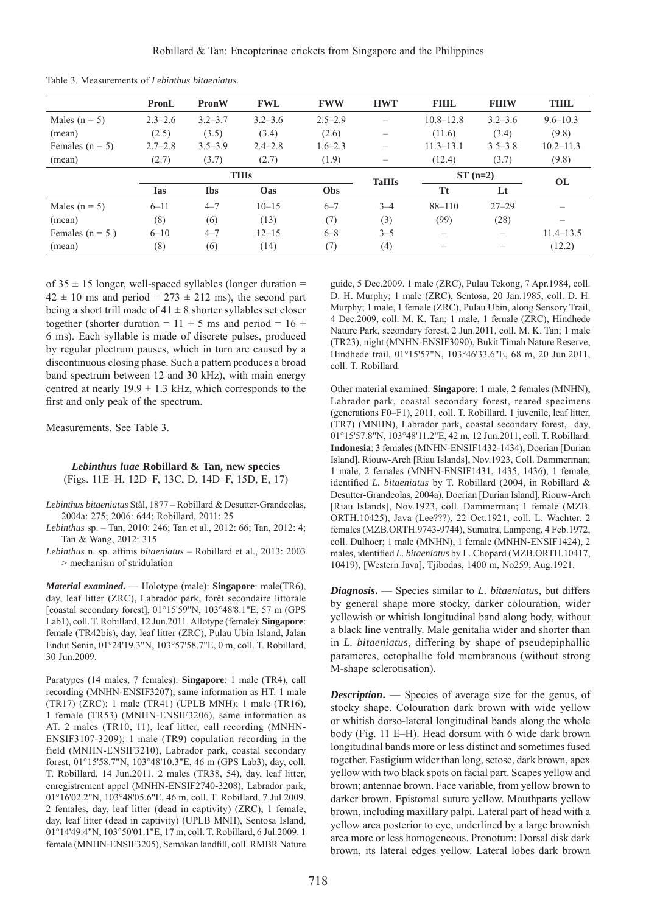|                     | PronL       | PronW       | <b>FWL</b>   | <b>FWW</b>  | <b>HWT</b>               | <b>FIIIL</b>  | <b>FIIIW</b> | <b>THIL</b>   |
|---------------------|-------------|-------------|--------------|-------------|--------------------------|---------------|--------------|---------------|
| Males ( $n = 5$ )   | $2.3 - 2.6$ | $3.2 - 3.7$ | $3.2 - 3.6$  | $2.5 - 2.9$ | $\overline{\phantom{0}}$ | $10.8 - 12.8$ | $3.2 - 3.6$  | $9.6 - 10.3$  |
| (mean)              | (2.5)       | (3.5)       | (3.4)        | (2.6)       | -                        | (11.6)        | (3.4)        | (9.8)         |
| Females ( $n = 5$ ) | $2.7 - 2.8$ | $3.5 - 3.9$ | $2.4 - 2.8$  | $1.6 - 2.3$ |                          | $11.3 - 13.1$ | $3.5 - 3.8$  | $10.2 - 11.3$ |
| (mean)              | (2.7)       | (3.7)       | (2.7)        | (1.9)       | $\qquad \qquad -$        | (12.4)        | (3.7)        | (9.8)         |
|                     |             |             | <b>TIIIs</b> |             | <b>TaIIIs</b>            | $ST(n=2)$     |              | <b>OL</b>     |
|                     | <b>Ias</b>  | <b>Ibs</b>  | Oas          | <b>Obs</b>  |                          | <b>Tt</b>     | Lt           |               |
| Males ( $n = 5$ )   | $6 - 11$    | $4 - 7$     | $10 - 15$    | $6 - 7$     | $3 - 4$                  | $88 - 110$    | $27 - 29$    |               |
| (mean)              | (8)         | (6)         | (13)         | (7)         | (3)                      | (99)          | (28)         |               |
| Females ( $n = 5$ ) | $6 - 10$    | $4 - 7$     | $12 - 15$    | $6 - 8$     | $3 - 5$                  |               |              | $11.4 - 13.5$ |
| (mean)              | (8)         | (6)         | (14)         | (7)         | (4)                      |               |              | (12.2)        |

Table 3. Measurements of *Lebinthus bitaeniatus.*

of  $35 \pm 15$  longer, well-spaced syllables (longer duration =  $42 \pm 10$  ms and period = 273  $\pm$  212 ms), the second part being a short trill made of  $41 \pm 8$  shorter syllables set closer together (shorter duration =  $11 \pm 5$  ms and period =  $16 \pm 16$ 6 ms). Each syllable is made of discrete pulses, produced by regular plectrum pauses, which in turn are caused by a discontinuous closing phase. Such a pattern produces a broad band spectrum between 12 and 30 kHz), with main energy centred at nearly  $19.9 \pm 1.3$  kHz, which corresponds to the first and only peak of the spectrum.

Measurements. See Table 3.

# *Lebinthus luae* **Robillard & Tan, new species** (Figs. 11E–H, 12D–F, 13C, D, 14D–F, 15D, E, 17)

- *Lebinthus bitaeniatus* Stål, 1877 Robillard & Desutter-Grandcolas, 2004a: 275; 2006: 644; Robillard, 2011: 25
- *Lebinthus* sp. Tan, 2010: 246; Tan et al., 2012: 66; Tan, 2012: 4; Tan & Wang, 2012: 315
- *Lebinthus* n. sp. affinis *bitaeniatus* Robillard et al., 2013: 2003 > mechanism of stridulation

*Material examined***.** — Holotype (male): **Singapore**: male(TR6), day, leaf litter (ZRC), Labrador park, forêt secondaire littorale [coastal secondary forest], 01°15'59"N, 103°48'8.1"E, 57 m (GPS Lab1), coll. T. Robillard, 12 Jun.2011. Allotype (female): **Singapore**: female (TR42bis), day, leaf litter (ZRC), Pulau Ubin Island, Jalan Endut Senin, 01°24'19.3"N, 103°57'58.7"E, 0 m, coll. T. Robillard, 30 Jun.2009.

Paratypes (14 males, 7 females): **Singapore**: 1 male (TR4), call recording (MNHN-ENSIF3207), same information as HT. 1 male (TR17) (ZRC); 1 male (TR41) (UPLB MNH); 1 male (TR16), 1 female (TR53) (MNHN-ENSIF3206), same information as AT. 2 males (TR10, 11), leaf litter, call recording (MNHN-ENSIF3107-3209); 1 male (TR9) copulation recording in the field (MNHN-ENSIF3210), Labrador park, coastal secondary forest, 01°15'58.7"N, 103°48'10.3"E, 46 m (GPS Lab3), day, coll. T. Robillard, 14 Jun.2011. 2 males (TR38, 54), day, leaf litter, enregistrement appel (MNHN-ENSIF2740-3208), Labrador park, 01°16'02.2"N, 103°48'05.6"E, 46 m, coll. T. Robillard, 7 Jul.2009. 2 females, day, leaf litter (dead in captivity) (ZRC), 1 female, day, leaf litter (dead in captivity) (UPLB MNH), Sentosa Island, 01°14'49.4"N, 103°50'01.1"E, 17 m, coll. T. Robillard, 6 Jul.2009. 1 female (MNHN-ENSIF3205), Semakan landfill, coll. RMBR Nature

guide, 5 Dec.2009. 1 male (ZRC), Pulau Tekong, 7 Apr.1984, coll. D. H. Murphy; 1 male (ZRC), Sentosa, 20 Jan.1985, coll. D. H. Murphy; 1 male, 1 female (ZRC), Pulau Ubin, along Sensory Trail, 4 Dec.2009, coll. M. K. Tan; 1 male, 1 female (ZRC), Hindhede Nature Park, secondary forest, 2 Jun.2011, coll. M. K. Tan; 1 male (TR23), night (MNHN-ENSIF3090), Bukit Timah Nature Reserve, Hindhede trail, 01°15'57"N, 103°46'33.6"E, 68 m, 20 Jun.2011, coll. T. Robillard.

Other material examined: **Singapore**: 1 male, 2 females (MNHN), Labrador park, coastal secondary forest, reared specimens (generations F0–F1), 2011, coll. T. Robillard. 1 juvenile, leaf litter, (TR7) (MNHN), Labrador park, coastal secondary forest, day, 01°15'57.8"N, 103°48'11.2"E, 42 m, 12 Jun.2011, coll. T. Robillard. **Indonesia**: 3 females (MNHN-ENSIF1432-1434), Doerian [Durian Island], Riouw-Arch [Riau Islands], Nov.1923, Coll. Dammerman; 1 male, 2 females (MNHN-ENSIF1431, 1435, 1436), 1 female, identified *L. bitaeniatus* by T. Robillard (2004, in Robillard & Desutter-Grandcolas, 2004a), Doerian [Durian Island], Riouw-Arch [Riau Islands], Nov.1923, coll. Dammerman; 1 female (MZB. ORTH.10425), Java (Lee???), 22 Oct.1921, coll. L. Wachter. 2 females (MZB.ORTH.9743-9744), Sumatra, Lampong, 4 Feb.1972, coll. Dulhoer; 1 male (MNHN), 1 female (MNHN-ENSIF1424), 2 males, identified *L. bitaeniatus* by L. Chopard (MZB.ORTH.10417, 10419), [Western Java], Tjibodas, 1400 m, No259, Aug.1921.

*Diagnosis***.** — Species similar to *L. bitaeniatus*, but differs by general shape more stocky, darker colouration, wider yellowish or whitish longitudinal band along body, without a black line ventrally. Male genitalia wider and shorter than in *L. bitaeniatus*, differing by shape of pseudepiphallic parameres, ectophallic fold membranous (without strong M-shape sclerotisation).

*Description.* — Species of average size for the genus, of stocky shape. Colouration dark brown with wide yellow or whitish dorso-lateral longitudinal bands along the whole body (Fig. 11 E–H). Head dorsum with 6 wide dark brown longitudinal bands more or less distinct and sometimes fused together. Fastigium wider than long, setose, dark brown, apex yellow with two black spots on facial part. Scapes yellow and brown; antennae brown. Face variable, from yellow brown to darker brown. Epistomal suture yellow. Mouthparts yellow brown, including maxillary palpi. Lateral part of head with a yellow area posterior to eye, underlined by a large brownish area more or less homogeneous. Pronotum: Dorsal disk dark brown, its lateral edges yellow. Lateral lobes dark brown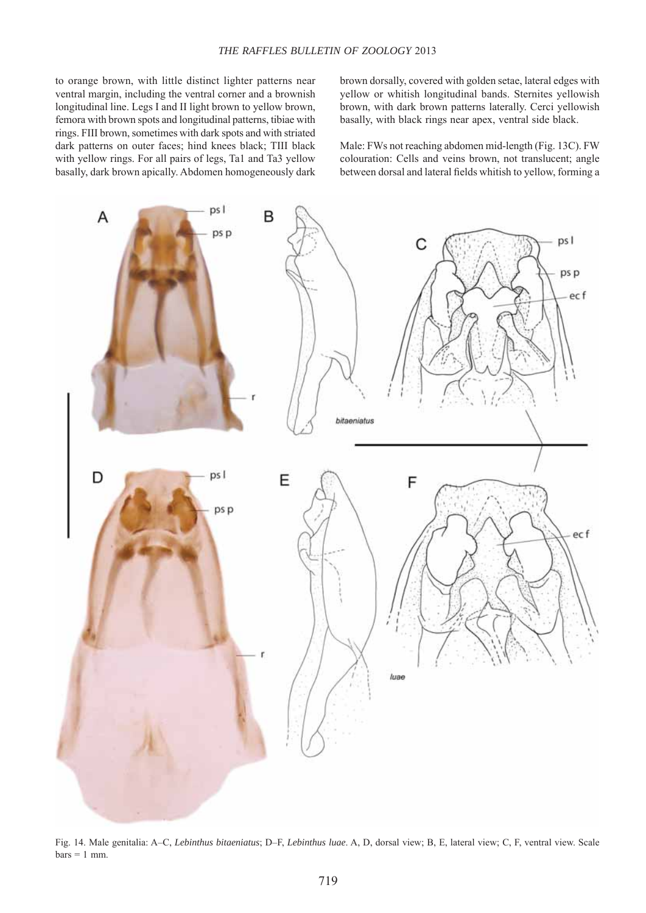to orange brown, with little distinct lighter patterns near ventral margin, including the ventral corner and a brownish longitudinal line. Legs I and II light brown to yellow brown, femora with brown spots and longitudinal patterns, tibiae with rings. FIII brown, sometimes with dark spots and with striated dark patterns on outer faces; hind knees black; TIII black with yellow rings. For all pairs of legs, Ta1 and Ta3 yellow basally, dark brown apically. Abdomen homogeneously dark

brown dorsally, covered with golden setae, lateral edges with yellow or whitish longitudinal bands. Sternites yellowish brown, with dark brown patterns laterally. Cerci yellowish basally, with black rings near apex, ventral side black.

Male: FWs not reaching abdomen mid-length (Fig. 13C). FW colouration: Cells and veins brown, not translucent; angle between dorsal and lateral fields whitish to yellow, forming a



Fig. 14. Male genitalia: A–C, *Lebinthus bitaeniatus*; D–F, *Lebinthus luae*. A, D, dorsal view; B, E, lateral view; C, F, ventral view. Scale  $bars = 1$  mm.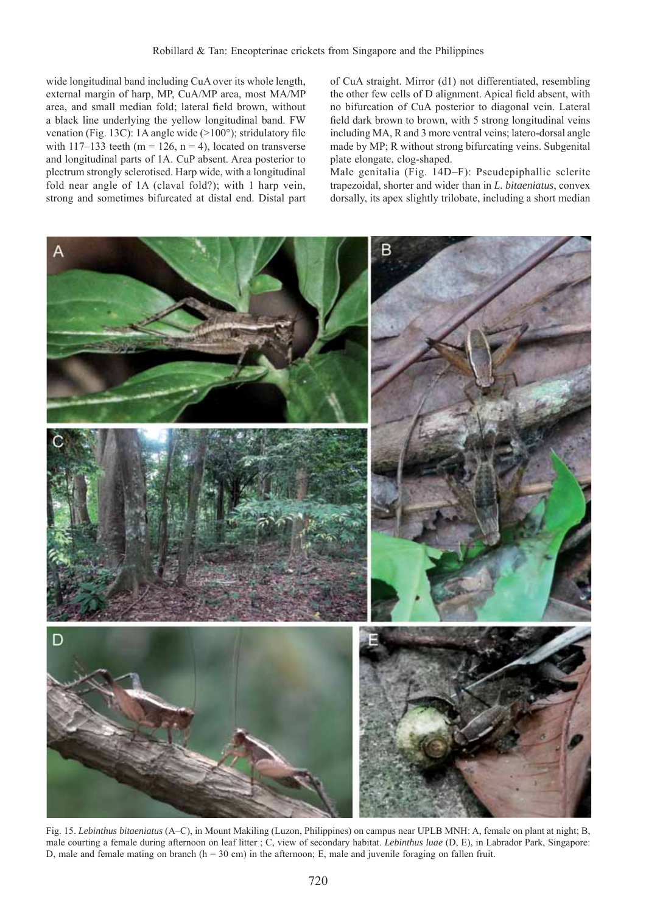wide longitudinal band including CuA over its whole length, external margin of harp, MP, CuA/MP area, most MA/MP area, and small median fold; lateral field brown, without a black line underlying the yellow longitudinal band. FW venation (Fig. 13C): 1A angle wide  $(>100^{\circ})$ ; stridulatory file with  $117-133$  teeth (m = 126, n = 4), located on transverse and longitudinal parts of 1A. CuP absent. Area posterior to plectrum strongly sclerotised. Harp wide, with a longitudinal fold near angle of 1A (claval fold?); with 1 harp vein, strong and sometimes bifurcated at distal end. Distal part

of CuA straight. Mirror (d1) not differentiated, resembling the other few cells of D alignment. Apical field absent, with no bifurcation of CuA posterior to diagonal vein. Lateral field dark brown to brown, with 5 strong longitudinal veins including MA, R and 3 more ventral veins; latero-dorsal angle made by MP; R without strong bifurcating veins. Subgenital plate elongate, clog-shaped.

Male genitalia (Fig. 14D–F): Pseudepiphallic sclerite trapezoidal, shorter and wider than in *L. bitaeniatus*, convex dorsally, its apex slightly trilobate, including a short median



Fig. 15. *Lebinthus bitaeniatus* (A–C), in Mount Makiling (Luzon, Philippines) on campus near UPLB MNH: A, female on plant at night; B, male courting a female during afternoon on leaf litter ; C, view of secondary habitat. *Lebinthus luae* (D, E), in Labrador Park, Singapore: D, male and female mating on branch (h = 30 cm) in the afternoon; E, male and juvenile foraging on fallen fruit.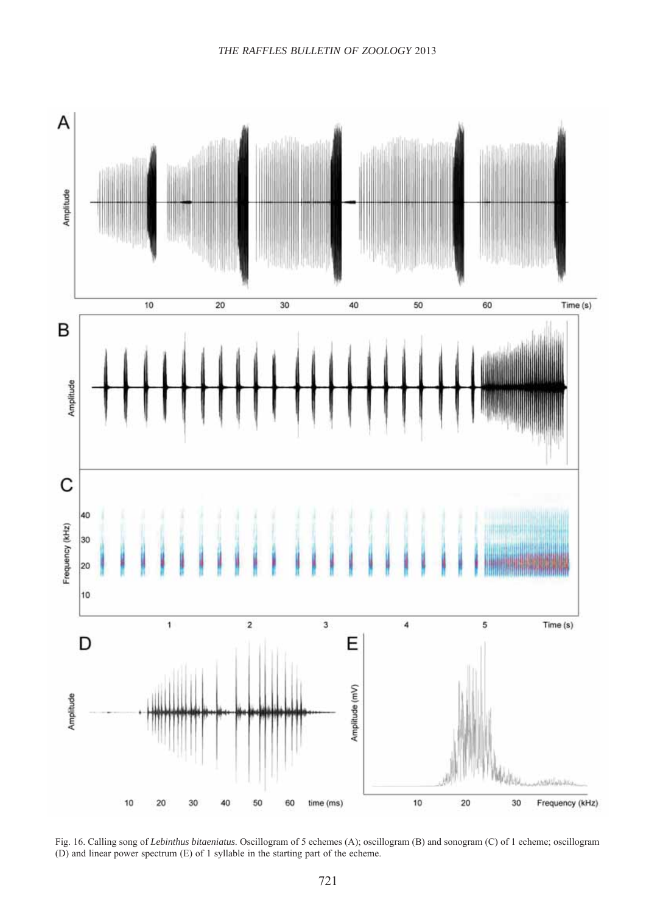

Fig. 16. Calling song of *Lebinthus bitaeniatus*. Oscillogram of 5 echemes (A); oscillogram (B) and sonogram (C) of 1 echeme; oscillogram (D) and linear power spectrum (E) of 1 syllable in the starting part of the echeme.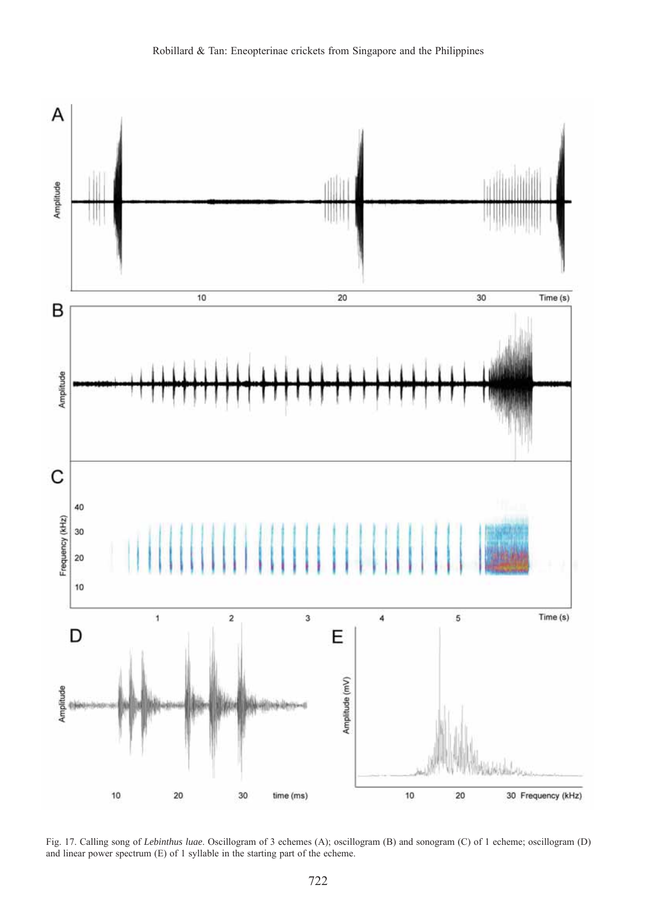

Fig. 17. Calling song of *Lebinthus luae*. Oscillogram of 3 echemes (A); oscillogram (B) and sonogram (C) of 1 echeme; oscillogram (D) and linear power spectrum (E) of 1 syllable in the starting part of the echeme.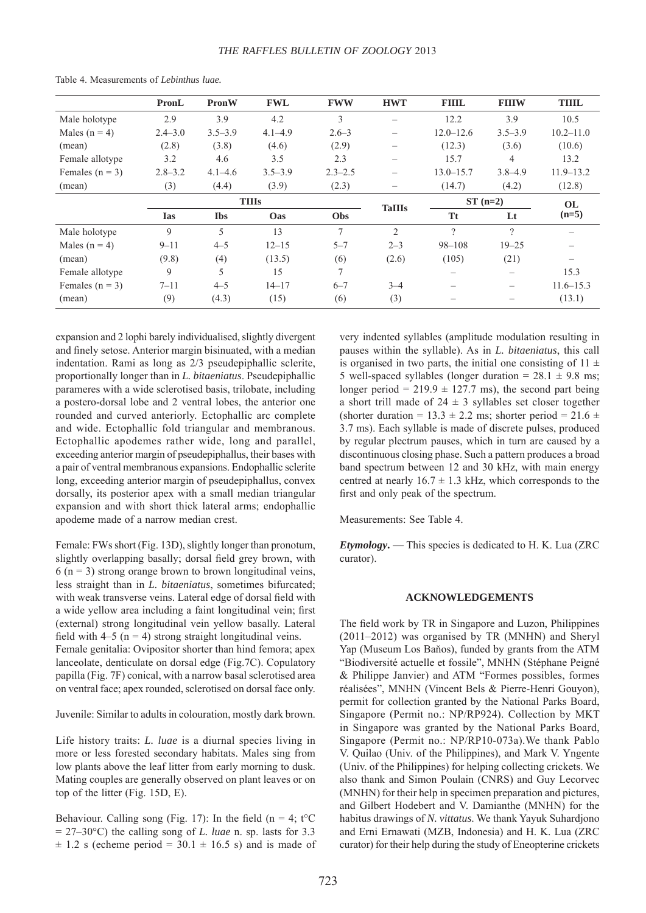|                     | PronL        | <b>PronW</b> | <b>FWL</b>  | <b>FWW</b>  | <b>HWT</b>               | <b>FIIIL</b>  | <b>FIIIW</b>      | <b>THIL</b>   |
|---------------------|--------------|--------------|-------------|-------------|--------------------------|---------------|-------------------|---------------|
| Male holotype       | 2.9          | 3.9          | 4.2         | 3           |                          | 12.2          | 3.9               | 10.5          |
| Males $(n = 4)$     | $2.4 - 3.0$  | $3.5 - 3.9$  | $4.1 - 4.9$ | $2.6 - 3$   | $\overline{\phantom{0}}$ | $12.0 - 12.6$ | $3.5 - 3.9$       | $10.2 - 11.0$ |
| (mean)              | (2.8)        | (3.8)        | (4.6)       | (2.9)       |                          | (12.3)        | (3.6)             | (10.6)        |
| Female allotype     | 3.2          | 4.6          | 3.5         | 2.3         | $\overline{\phantom{0}}$ | 15.7          | 4                 | 13.2          |
| Females ( $n = 3$ ) | $2.8 - 3.2$  | $4.1 - 4.6$  | $3.5 - 3.9$ | $2.3 - 2.5$ | $\overline{\phantom{0}}$ | $13.0 - 15.7$ | $3.8 - 4.9$       | $11.9 - 13.2$ |
| (mean)              | (3)          | (4.4)        | (3.9)       | (2.3)       |                          | (14.7)        | (4.2)             | (12.8)        |
|                     | <b>TIIIs</b> |              |             |             |                          | $ST(n=2)$     |                   | OL.           |
|                     | <b>Ias</b>   | <b>Ibs</b>   | Oas         | Obs         | <b>TaIIIs</b>            | <b>Tt</b>     | Lt                | $(n=5)$       |
| Male holotype       | 9            | 5            | 13          | $\tau$      | $\mathfrak{D}$           | $\gamma$      | $\gamma$          |               |
| Males ( $n = 4$ )   | $9 - 11$     | $4 - 5$      | $12 - 15$   | $5 - 7$     | $2 - 3$                  | $98 - 108$    | $19 - 25$         |               |
| (mean)              | (9.8)        | (4)          | (13.5)      | (6)         | (2.6)                    | (105)         | (21)              |               |
| Female allotype     | 9            | 5            | 15          | $\tau$      |                          |               |                   | 15.3          |
| Females $(n = 3)$   | $7 - 11$     | $4 - 5$      | $14 - 17$   | $6 - 7$     | $3 - 4$                  |               | $\qquad \qquad -$ | $11.6 - 15.3$ |
| (mean)              | (9)          | (4.3)        | (15)        | (6)         | (3)                      |               |                   | (13.1)        |

Table 4. Measurements of *Lebinthus luae.*

expansion and 2 lophi barely individualised, slightly divergent and finely setose. Anterior margin bisinuated, with a median indentation. Rami as long as 2/3 pseudepiphallic sclerite, proportionally longer than in *L. bitaeniatus*. Pseudepiphallic parameres with a wide sclerotised basis, trilobate, including a postero-dorsal lobe and 2 ventral lobes, the anterior one rounded and curved anteriorly. Ectophallic arc complete and wide. Ectophallic fold triangular and membranous. Ectophallic apodemes rather wide, long and parallel, exceeding anterior margin of pseudepiphallus, their bases with a pair of ventral membranous expansions. Endophallic sclerite long, exceeding anterior margin of pseudepiphallus, convex dorsally, its posterior apex with a small median triangular expansion and with short thick lateral arms; endophallic apodeme made of a narrow median crest.

Female: FWs short (Fig. 13D), slightly longer than pronotum, slightly overlapping basally; dorsal field grey brown, with  $6$  (n = 3) strong orange brown to brown longitudinal veins, less straight than in *L. bitaeniatus*, sometimes bifurcated; with weak transverse veins. Lateral edge of dorsal field with a wide yellow area including a faint longitudinal vein; first (external) strong longitudinal vein yellow basally. Lateral field with  $4-5$  (n = 4) strong straight longitudinal veins. Female genitalia: Ovipositor shorter than hind femora; apex lanceolate, denticulate on dorsal edge (Fig.7C). Copulatory papilla (Fig. 7F) conical, with a narrow basal sclerotised area

Juvenile: Similar to adults in colouration, mostly dark brown.

on ventral face; apex rounded, sclerotised on dorsal face only.

Life history traits: *L. luae* is a diurnal species living in more or less forested secondary habitats. Males sing from low plants above the leaf litter from early morning to dusk. Mating couples are generally observed on plant leaves or on top of the litter (Fig. 15D, E).

Behaviour. Calling song (Fig. 17): In the field (n = 4; t<sup>o</sup>C  $= 27-30$ °C) the calling song of *L. luae* n. sp. lasts for 3.3  $\pm$  1.2 s (echeme period = 30.1  $\pm$  16.5 s) and is made of

very indented syllables (amplitude modulation resulting in pauses within the syllable). As in *L. bitaeniatus*, this call is organised in two parts, the initial one consisting of  $11 \pm$ 5 well-spaced syllables (longer duration =  $28.1 \pm 9.8$  ms; longer period =  $219.9 \pm 127.7$  ms), the second part being a short trill made of  $24 \pm 3$  syllables set closer together (shorter duration =  $13.3 \pm 2.2$  ms; shorter period =  $21.6 \pm$ 3.7 ms). Each syllable is made of discrete pulses, produced by regular plectrum pauses, which in turn are caused by a discontinuous closing phase. Such a pattern produces a broad band spectrum between 12 and 30 kHz, with main energy centred at nearly  $16.7 \pm 1.3$  kHz, which corresponds to the first and only peak of the spectrum.

Measurements: See Table 4.

*Etymology***.** — This species is dedicated to H. K. Lua (ZRC curator).

### **ACKNOWLEDGEMENTS**

The field work by TR in Singapore and Luzon, Philippines (2011–2012) was organised by TR (MNHN) and Sheryl Yap (Museum Los Baňos), funded by grants from the ATM "Biodiversité actuelle et fossile", MNHN (Stéphane Peigné & Philippe Janvier) and ATM "Formes possibles, formes réalisées", MNHN (Vincent Bels & Pierre-Henri Gouyon), permit for collection granted by the National Parks Board, Singapore (Permit no.: NP/RP924). Collection by MKT in Singapore was granted by the National Parks Board, Singapore (Permit no.: NP/RP10-073a).We thank Pablo V. Quilao (Univ. of the Philippines), and Mark V. Yngente (Univ. of the Philippines) for helping collecting crickets. We also thank and Simon Poulain (CNRS) and Guy Lecorvec (MNHN) for their help in specimen preparation and pictures, and Gilbert Hodebert and V. Damianthe (MNHN) for the habitus drawings of *N. vittatus*. We thank Yayuk Suhardjono and Erni Ernawati (MZB, Indonesia) and H. K. Lua (ZRC curator) for their help during the study of Eneopterine crickets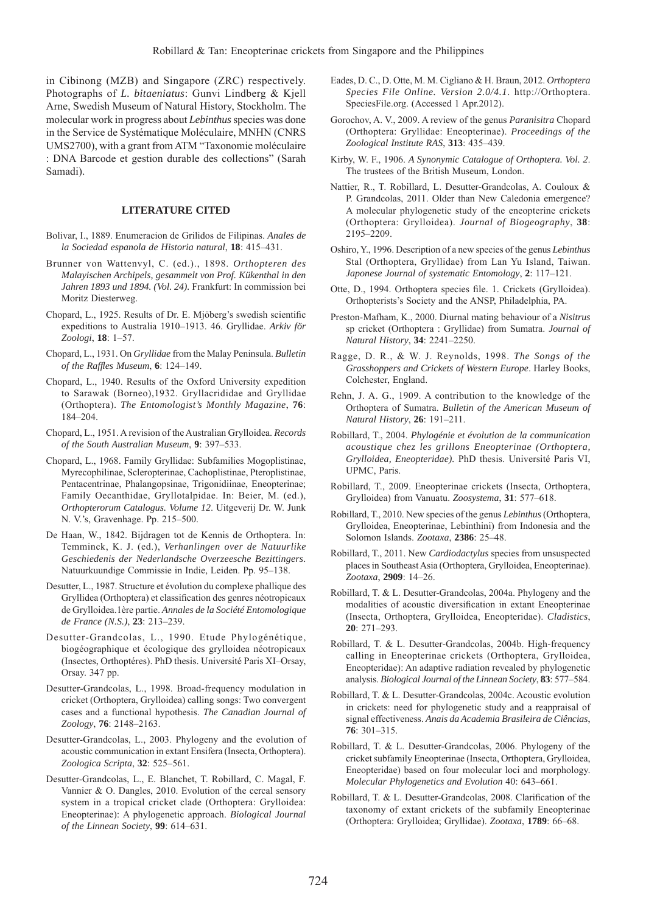in Cibinong (MZB) and Singapore (ZRC) respectively. Photographs of *L. bitaeniatus*: Gunvi Lindberg & Kjell Arne, Swedish Museum of Natural History, Stockholm. The molecular work in progress about *Lebinthus* species was done in the Service de Systématique Moléculaire, MNHN (CNRS UMS2700), with a grant from ATM "Taxonomie moléculaire : DNA Barcode et gestion durable des collections" (Sarah Samadi).

# **LITERATURE CITED**

- Bolivar, I., 1889. Enumeracion de Grilidos de Filipinas. *Anales de la Sociedad espanola de Historia natural*, **18**: 415–431.
- Brunner von Wattenvyl, C. (ed.)., 1898. *Orthopteren des Malayischen Archipels, gesammelt von Prof. Kükenthal in den Jahren 1893 und 1894. (Vol. 24).* Frankfurt: In commission bei Moritz Diesterweg.
- Chopard, L., 1925. Results of Dr. E. Mjöberg's swedish scientific expeditions to Australia 1910–1913. 46. Gryllidae. *Arkiv för Zoologi*, **18**: 1–57.
- Chopard, L., 1931. On *Gryllidae* from the Malay Peninsula. *Bulletin of the Raffl es Museum*, **6**: 124–149.
- Chopard, L., 1940. Results of the Oxford University expedition to Sarawak (Borneo),1932. Gryllacrididae and Gryllidae (Orthoptera). *The Entomologist's Monthly Magazine*, **76**: 184–204.
- Chopard, L., 1951. A revision of the Australian Grylloidea. *Records of the South Australian Museum*, **9**: 397–533.
- Chopard, L., 1968. Family Gryllidae: Subfamilies Mogoplistinae, Myrecophilinae, Scleropterinae, Cachoplistinae, Pteroplistinae, Pentacentrinae, Phalangopsinae, Trigonidiinae, Eneopterinae; Family Oecanthidae, Gryllotalpidae. In: Beier, M. (ed.), *Orthopterorum Catalogus. Volume 12*. Uitgeverij Dr. W. Junk N. V.'s, Gravenhage. Pp. 215–500.
- De Haan, W., 1842. Bijdragen tot de Kennis de Orthoptera. In: Temminck, K. J. (ed.), *Verhanlingen over de Natuurlike Geschiedenis der Nederlandsche Overzeesche Bezittingers*. Natuurkuundige Commissie in Indie, Leiden. Pp. 95–138.
- Desutter, L., 1987. Structure et évolution du complexe phallique des Gryllidea (Orthoptera) et classification des genres néotropicaux de Grylloidea.1ère partie. *Annales de la Société Entomologique de France (N.S.)*, **23**: 213–239.
- Desutter-Grandcolas, L., 1990. Etude Phylogénétique, biogéographique et écologique des grylloidea néotropicaux (Insectes, Orthoptéres). PhD thesis. Université Paris XI–Orsay, Orsay. 347 pp.
- Desutter-Grandcolas, L., 1998. Broad-frequency modulation in cricket (Orthoptera, Grylloidea) calling songs: Two convergent cases and a functional hypothesis. *The Canadian Journal of Zoology*, **76**: 2148–2163.
- Desutter-Grandcolas, L., 2003. Phylogeny and the evolution of acoustic communication in extant Ensifera (Insecta, Orthoptera). *Zoologica Scripta*, **32**: 525–561.
- Desutter-Grandcolas, L., E. Blanchet, T. Robillard, C. Magal, F. Vannier & O. Dangles, 2010. Evolution of the cercal sensory system in a tropical cricket clade (Orthoptera: Grylloidea: Eneopterinae): A phylogenetic approach. *Biological Journal of the Linnean Society*, **99**: 614–631.
- Eades, D. C., D. Otte, M. M. Cigliano & H. Braun, 2012. *Orthoptera Species File Online. Version 2.0/4.1*. http://Orthoptera. SpeciesFile.org. (Accessed 1 Apr.2012).
- Gorochov, A. V., 2009. A review of the genus *Paranisitra* Chopard (Orthoptera: Gryllidae: Eneopterinae). *Proceedings of the Zoological Institute RAS*, **313**: 435–439.
- Kirby, W. F., 1906. *A Synonymic Catalogue of Orthoptera. Vol. 2*. The trustees of the British Museum, London.
- Nattier, R., T. Robillard, L. Desutter-Grandcolas, A. Couloux & P. Grandcolas, 2011. Older than New Caledonia emergence? A molecular phylogenetic study of the eneopterine crickets (Orthoptera: Grylloidea). *Journal of Biogeography*, **38**: 2195–2209.
- Oshiro, Y., 1996. Description of a new species of the genus *Lebinthus* Stal (Orthoptera, Gryllidae) from Lan Yu Island, Taiwan. *Japonese Journal of systematic Entomology*, **2**: 117–121.
- Otte, D., 1994. Orthoptera species file. 1. Crickets (Grylloidea). Orthopterists's Society and the ANSP, Philadelphia, PA.
- Preston-Mafham, K., 2000. Diurnal mating behaviour of a *Nisitrus* sp cricket (Orthoptera : Gryllidae) from Sumatra. *Journal of Natural History*, **34**: 2241–2250.
- Ragge, D. R., & W. J. Reynolds, 1998. *The Songs of the Grasshoppers and Crickets of Western Europe*. Harley Books, Colchester, England.
- Rehn, J. A. G., 1909. A contribution to the knowledge of the Orthoptera of Sumatra. *Bulletin of the American Museum of Natural History*, **26**: 191–211.
- Robillard, T., 2004. *Phylogénie et évolution de la communication acoustique chez les grillons Eneopterinae (Orthoptera, Grylloidea, Eneopteridae).* PhD thesis. Université Paris VI, UPMC, Paris.
- Robillard, T., 2009. Eneopterinae crickets (Insecta, Orthoptera, Grylloidea) from Vanuatu. *Zoosystema*, **31**: 577–618.
- Robillard, T., 2010. New species of the genus *Lebinthus* (Orthoptera, Grylloidea, Eneopterinae, Lebinthini) from Indonesia and the Solomon Islands. *Zootaxa*, **2386**: 25–48.
- Robillard, T., 2011. New *Cardiodactylus* species from unsuspected places in Southeast Asia (Orthoptera, Grylloidea, Eneopterinae). *Zootaxa*, **2909**: 14–26.
- Robillard, T. & L. Desutter-Grandcolas, 2004a. Phylogeny and the modalities of acoustic diversification in extant Eneopterinae (Insecta, Orthoptera, Grylloidea, Eneopteridae). *Cladistics*, **20**: 271–293.
- Robillard, T. & L. Desutter-Grandcolas, 2004b. High-frequency calling in Eneopterinae crickets (Orthoptera, Grylloidea, Eneopteridae): An adaptive radiation revealed by phylogenetic analysis. *Biological Journal of the Linnean Society*, **83**: 577–584.
- Robillard, T. & L. Desutter-Grandcolas, 2004c. Acoustic evolution in crickets: need for phylogenetic study and a reappraisal of signal effectiveness. *Anais da Academia Brasileira de Ciências*, **76**: 301–315.
- Robillard, T. & L. Desutter-Grandcolas, 2006. Phylogeny of the cricket subfamily Eneopterinae (Insecta, Orthoptera, Grylloidea, Eneopteridae) based on four molecular loci and morphology. *Molecular Phylogenetics and Evolution* 40: 643–661.
- Robillard, T. & L. Desutter-Grandcolas, 2008. Clarification of the taxonomy of extant crickets of the subfamily Eneopterinae (Orthoptera: Grylloidea; Gryllidae). *Zootaxa*, **1789**: 66–68.